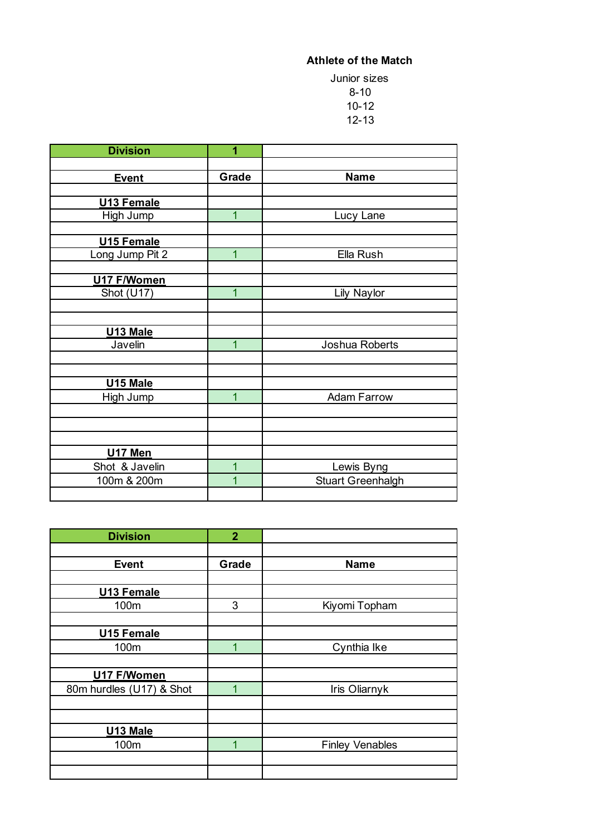Junior sizes 8-10 10-12 12-13

| <b>Division</b>   | 1              |                    |
|-------------------|----------------|--------------------|
|                   |                |                    |
| <b>Event</b>      | Grade          | <b>Name</b>        |
|                   |                |                    |
| <b>U13 Female</b> |                |                    |
| High Jump         | $\overline{1}$ | Lucy Lane          |
|                   |                |                    |
| U15 Female        |                |                    |
| Long Jump Pit 2   | $\overline{1}$ | Ella Rush          |
|                   |                |                    |
| U17 F/Women       |                |                    |
| Shot (U17)        | $\overline{1}$ | <b>Lily Naylor</b> |
|                   |                |                    |
|                   |                |                    |
| U13 Male          |                |                    |
| Javelin           | $\overline{1}$ | Joshua Roberts     |
|                   |                |                    |
|                   |                |                    |
| U15 Male          |                |                    |
| High Jump         | $\overline{1}$ | <b>Adam Farrow</b> |
|                   |                |                    |
|                   |                |                    |
|                   |                |                    |
| U17 Men           |                |                    |
| Shot & Javelin    | 1              | Lewis Byng         |
| 100m & 200m       | 1              | Stuart Greenhalgh  |
|                   |                |                    |

| <b>Division</b>          | $\overline{2}$ |                        |
|--------------------------|----------------|------------------------|
|                          |                |                        |
| <b>Event</b>             | Grade          | <b>Name</b>            |
|                          |                |                        |
| U13 Female               |                |                        |
| 100m                     | 3              | Kiyomi Topham          |
|                          |                |                        |
| U15 Female               |                |                        |
| 100m                     | 1              | Cynthia Ike            |
|                          |                |                        |
| U17 F/Women              |                |                        |
| 80m hurdles (U17) & Shot | 1              | Iris Oliarnyk          |
|                          |                |                        |
|                          |                |                        |
| U13 Male                 |                |                        |
| 100m                     | 1              | <b>Finley Venables</b> |
|                          |                |                        |
|                          |                |                        |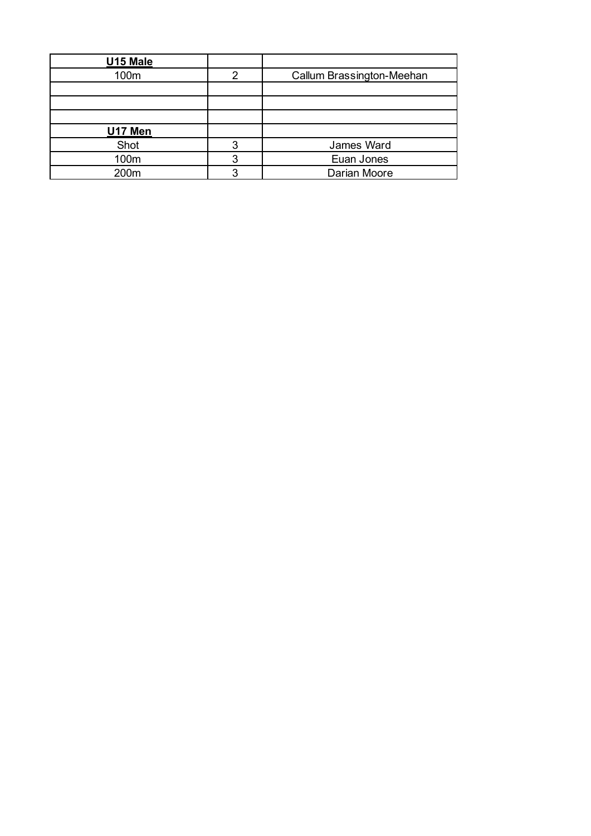| U15 Male       |   |                           |
|----------------|---|---------------------------|
| 100m           | 2 | Callum Brassington-Meehan |
|                |   |                           |
|                |   |                           |
|                |   |                           |
| <b>U17 Men</b> |   |                           |
| Shot           |   | James Ward                |
| 100m           |   | Euan Jones                |
| 200m           |   | Darian Moore              |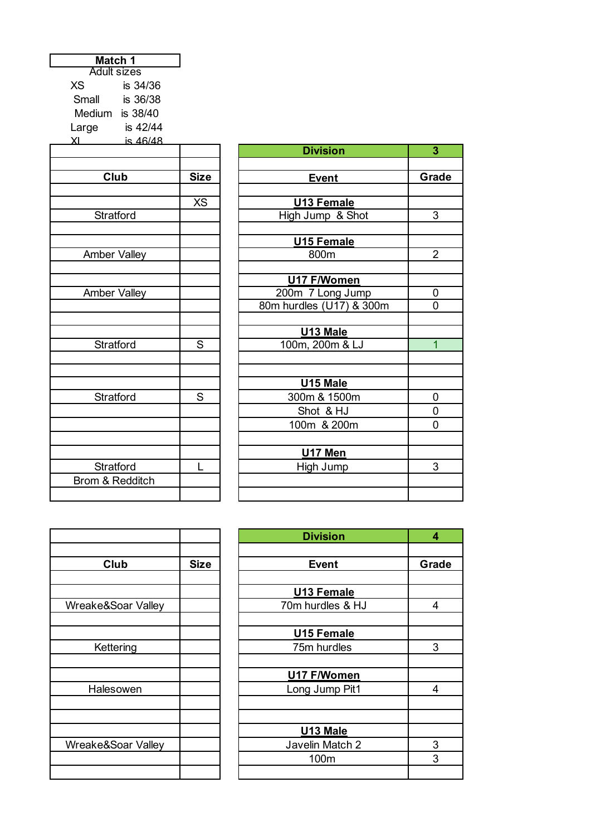| Match <sub>1</sub>    |             |
|-----------------------|-------------|
| <b>Adult sizes</b>    |             |
| <b>XS</b><br>is 34/36 |             |
| Small is 36/38        |             |
| Medium is 38/40       |             |
| is 42/44<br>Large     |             |
| $X1$ is $46/48$       |             |
|                       |             |
| Club                  | <b>Size</b> |
|                       |             |
|                       | <b>XS</b>   |
| Stratford             |             |
|                       |             |
|                       |             |
| <b>Amber Valley</b>   |             |
|                       |             |
|                       |             |
| <b>Amber Valley</b>   |             |
|                       |             |
|                       |             |
| Stratford             | S           |
|                       |             |
|                       |             |
|                       |             |
| Stratford             | S           |
|                       |             |
|                       |             |
|                       |             |
|                       |             |
| Stratford             | L           |
| Brom & Redditch       |             |
|                       |             |

| <u>ıs 46/48 </u>    |             |                          |                |
|---------------------|-------------|--------------------------|----------------|
|                     |             | <b>Division</b>          | 3              |
|                     |             |                          |                |
| Club                | <b>Size</b> | <b>Event</b>             | Grade          |
|                     |             |                          |                |
|                     | <b>XS</b>   | U13 Female               |                |
| Stratford           |             | High Jump & Shot         | 3              |
|                     |             |                          |                |
|                     |             | U15 Female               |                |
| <b>Amber Valley</b> |             | 800m                     | $\overline{2}$ |
|                     |             |                          |                |
|                     |             | U17 F/Women              |                |
| <b>Amber Valley</b> |             | 200m 7 Long Jump         | 0              |
|                     |             | 80m hurdles (U17) & 300m | 0              |
|                     |             |                          |                |
|                     |             | U13 Male                 |                |
| Stratford           | S           | 100m, 200m & LJ          | $\overline{1}$ |
|                     |             |                          |                |
|                     |             |                          |                |
|                     |             | U15 Male                 |                |
| Stratford           | S           | 300m & 1500m             | 0              |
|                     |             | Shot & HJ                | 0              |
|                     |             | 100m & 200m              | 0              |
|                     |             |                          |                |
|                     |             | U17 Men                  |                |
| Stratford           | L           | High Jump                | 3              |
| om & Redditch       |             |                          |                |
|                     |             |                          |                |
|                     |             |                          |                |

| Club               | <b>Size</b> |
|--------------------|-------------|
|                    |             |
|                    |             |
| Wreake&Soar Valley |             |
|                    |             |
|                    |             |
| Kettering          |             |
|                    |             |
|                    |             |
| Halesowen          |             |
|                    |             |
|                    |             |
|                    |             |
| Wreake&Soar Valley |             |
|                    |             |
|                    |             |

|                    |             | <b>Division</b>   | 4     |
|--------------------|-------------|-------------------|-------|
|                    |             |                   |       |
| Club               | <b>Size</b> | <b>Event</b>      | Grade |
|                    |             |                   |       |
|                    |             | U13 Female        |       |
| Wreake&Soar Valley |             | 70m hurdles & HJ  | 4     |
|                    |             |                   |       |
|                    |             | <b>U15 Female</b> |       |
| Kettering          |             | 75m hurdles       | 3     |
|                    |             |                   |       |
|                    |             | U17 F/Women       |       |
| Halesowen          |             | Long Jump Pit1    | 4     |
|                    |             |                   |       |
|                    |             | U13 Male          |       |
| Wreake&Soar Valley |             | Javelin Match 2   | 3     |
|                    |             | 100m              | 3     |
|                    |             |                   |       |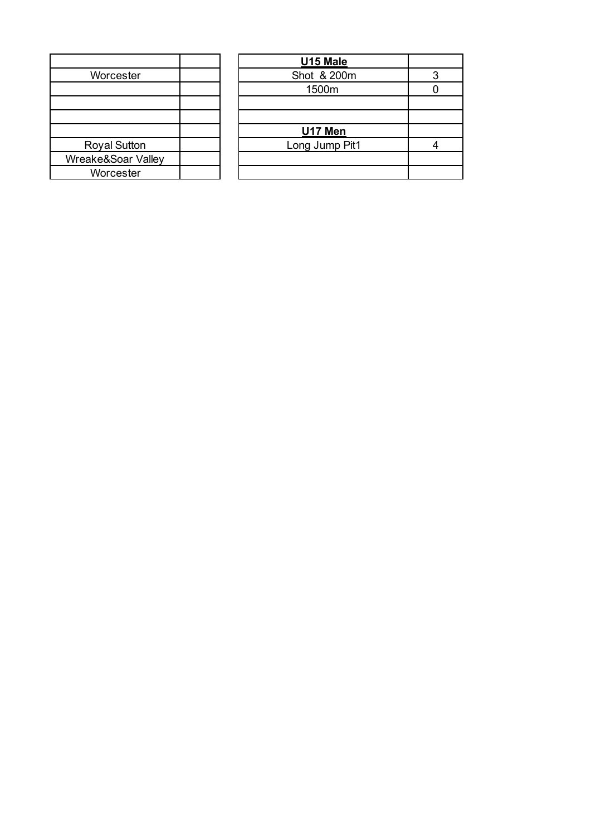|                     | U15 Male       |  |
|---------------------|----------------|--|
| Worcester           | Shot & 200m    |  |
|                     | 1500m          |  |
|                     |                |  |
|                     |                |  |
|                     | U17 Men        |  |
| <b>Royal Sutton</b> | Long Jump Pit1 |  |
| Wreake&Soar Valley  |                |  |
| Worcester           |                |  |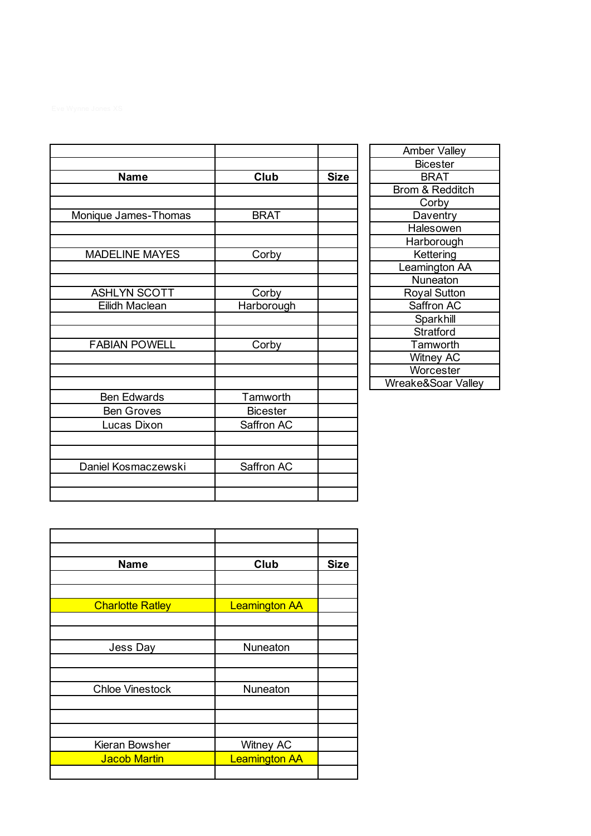|                       |                 |             | <b>Amber Valley</b> |
|-----------------------|-----------------|-------------|---------------------|
|                       |                 |             | <b>Bicester</b>     |
| <b>Name</b>           | Club            | <b>Size</b> | <b>BRAT</b>         |
|                       |                 |             | Brom & Reddito      |
|                       |                 |             | Corby               |
| Monique James-Thomas  | <b>BRAT</b>     |             | Daventry            |
|                       |                 |             | Halesowen           |
|                       |                 |             | Harborough          |
| <b>MADELINE MAYES</b> | Corby           |             | Kettering           |
|                       |                 |             | Leamington A        |
|                       |                 |             | Nuneaton            |
| <b>ASHLYN SCOTT</b>   | Corby           |             | <b>Royal Sutton</b> |
| Eilidh Maclean        | Harborough      |             | Saffron AC          |
|                       |                 |             | Sparkhill           |
|                       |                 |             | Stratford           |
| <b>FABIAN POWELL</b>  | Corby           |             | Tamworth            |
|                       |                 |             | Witney AC           |
|                       |                 |             | Worcester           |
|                       |                 |             | Wreake&Soar Va      |
| <b>Ben Edwards</b>    | Tamworth        |             |                     |
| <b>Ben Groves</b>     | <b>Bicester</b> |             |                     |
| Lucas Dixon           | Saffron AC      |             |                     |
|                       |                 |             |                     |
|                       |                 |             |                     |
| Daniel Kosmaczewski   | Saffron AC      |             |                     |
|                       |                 |             |                     |
|                       |                 |             |                     |

| <b>Amber Valley</b>        |  |
|----------------------------|--|
| Bicester                   |  |
| BRAT                       |  |
| <b>Brom &amp; Redditch</b> |  |
| Corby                      |  |
| Daventry                   |  |
| Halesowen                  |  |
| Harborough                 |  |
| Kettering                  |  |
| Leamington AA              |  |
| Nuneaton                   |  |
| <b>Royal Sutton</b>        |  |
| Saffron AC                 |  |
| Sparkhill                  |  |
| Stratford                  |  |
| Tamworth                   |  |
| Witney AC                  |  |
| Worcester                  |  |
| Wreake&Soar Valley         |  |

| <b>Name</b>             | Club                 | <b>Size</b> |
|-------------------------|----------------------|-------------|
|                         |                      |             |
|                         |                      |             |
| <b>Charlotte Ratley</b> | <b>Leamington AA</b> |             |
|                         |                      |             |
|                         |                      |             |
| Jess Day                | Nuneaton             |             |
|                         |                      |             |
|                         |                      |             |
| <b>Chloe Vinestock</b>  | Nuneaton             |             |
|                         |                      |             |
|                         |                      |             |
|                         |                      |             |
| Kieran Bowsher          | <b>Witney AC</b>     |             |
| <b>Jacob Martin</b>     | <b>Leamington AA</b> |             |
|                         |                      |             |
|                         |                      |             |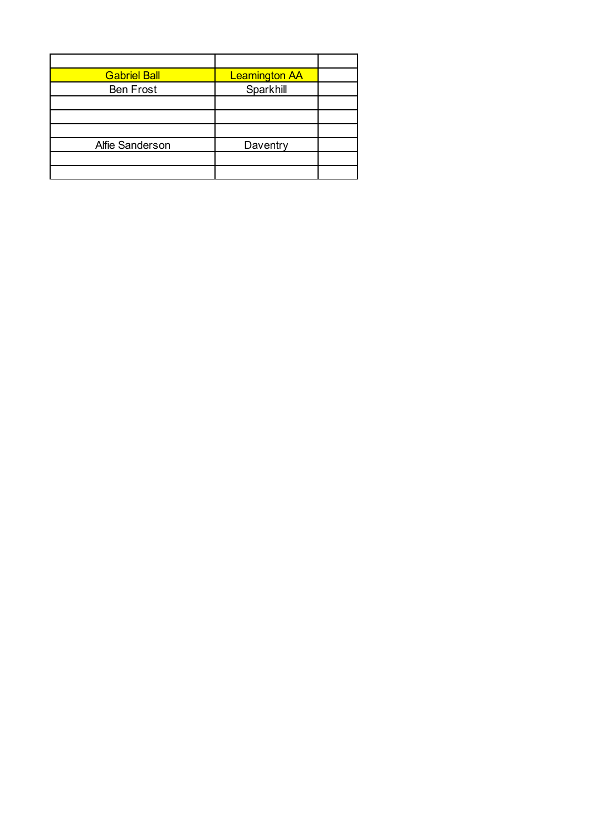| <b>Gabriel Ball</b> | <b>Leamington AA</b> |  |
|---------------------|----------------------|--|
| <b>Ben Frost</b>    | Sparkhill            |  |
|                     |                      |  |
|                     |                      |  |
|                     |                      |  |
| Alfie Sanderson     | Daventry             |  |
|                     |                      |  |
|                     |                      |  |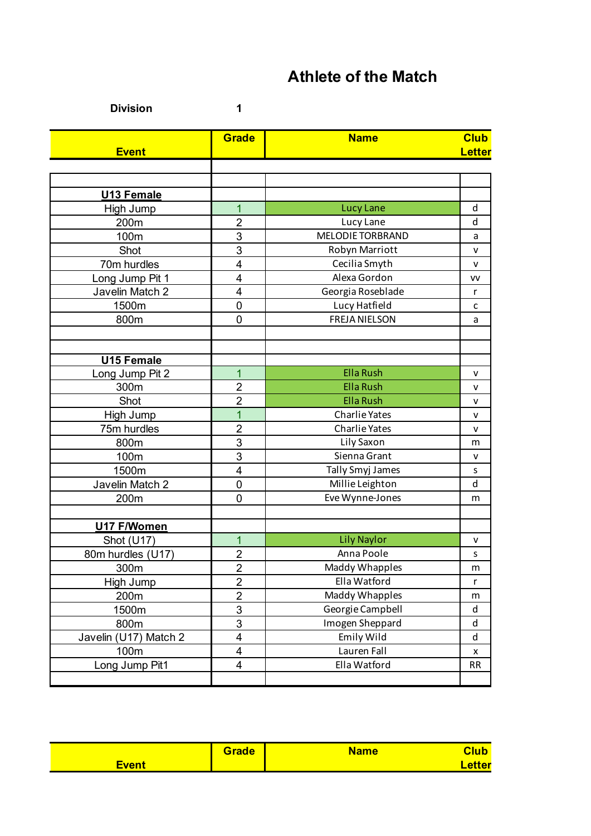| <b>Division</b>       | 1                       |                      |                              |
|-----------------------|-------------------------|----------------------|------------------------------|
| <b>Event</b>          | Grade                   | <b>Name</b>          | <b>Club</b><br><b>Letter</b> |
|                       |                         |                      |                              |
|                       |                         |                      |                              |
| U13 Female            |                         |                      |                              |
| High Jump             | $\overline{1}$          | <b>Lucy Lane</b>     | d                            |
| 200m                  | $\overline{2}$          | Lucy Lane            | d                            |
| 100m                  | 3                       | MELODIE TORBRAND     | a                            |
| Shot                  | $\overline{3}$          | Robyn Marriott       | v                            |
| 70m hurdles           | $\overline{4}$          | Cecilia Smyth        | v                            |
| Long Jump Pit 1       | 4                       | Alexa Gordon         | VV                           |
| Javelin Match 2       | $\overline{4}$          | Georgia Roseblade    | r                            |
| 1500m                 | $\mathbf 0$             | Lucy Hatfield        | с                            |
| 800m                  | $\mathbf 0$             | <b>FREJA NIELSON</b> | a                            |
|                       |                         |                      |                              |
|                       |                         |                      |                              |
| U15 Female            |                         |                      |                              |
| Long Jump Pit 2       | 1                       | Ella Rush            | v                            |
| 300m                  | $\overline{2}$          | Ella Rush            | v                            |
| Shot                  | $\overline{2}$          | <b>Ella Rush</b>     | ٨                            |
| High Jump             | $\overline{1}$          | <b>Charlie Yates</b> | v                            |
| 75m hurdles           | $\overline{2}$          | <b>Charlie Yates</b> | v                            |
| 800m                  | 3                       | Lily Saxon           | m                            |
| 100m                  | $\overline{3}$          | Sienna Grant         | v                            |
| 1500m                 | $\overline{\mathbf{4}}$ | Tally Smyj James     | S                            |
| Javelin Match 2       | $\mathbf 0$             | Millie Leighton      | d                            |
| 200m                  | $\mathbf 0$             | Eve Wynne-Jones      | m                            |
|                       |                         |                      |                              |
| U17 F/Women           |                         |                      |                              |
| Shot (U17)            | $\overline{1}$          | <b>Lily Naylor</b>   | v                            |
| 80m hurdles (U17)     | $\overline{2}$          | Anna Poole           | S                            |
| 300m                  | $\overline{\mathbf{c}}$ | Maddy Whapples       | m                            |
| High Jump             | $\overline{2}$          | Ella Watford         | r                            |
| 200m                  | $\overline{2}$          | Maddy Whapples       | m                            |
| 1500m                 | $\overline{3}$          | Georgie Campbell     | d                            |
| 800m                  | 3                       | Imogen Sheppard      | d                            |
| Javelin (U17) Match 2 | $\overline{\mathbf{4}}$ | Emily Wild           | $\sf d$                      |
| 100m                  | $\overline{\mathbf{4}}$ | Lauren Fall          | x                            |
| Long Jump Pit1        | $\overline{\mathbf{4}}$ | Ella Watford         | RR                           |
|                       |                         |                      |                              |

|       | . .<br><b>Grade</b> | <b>Name</b> | <b>Club</b> |
|-------|---------------------|-------------|-------------|
| Event |                     |             | ∠etter      |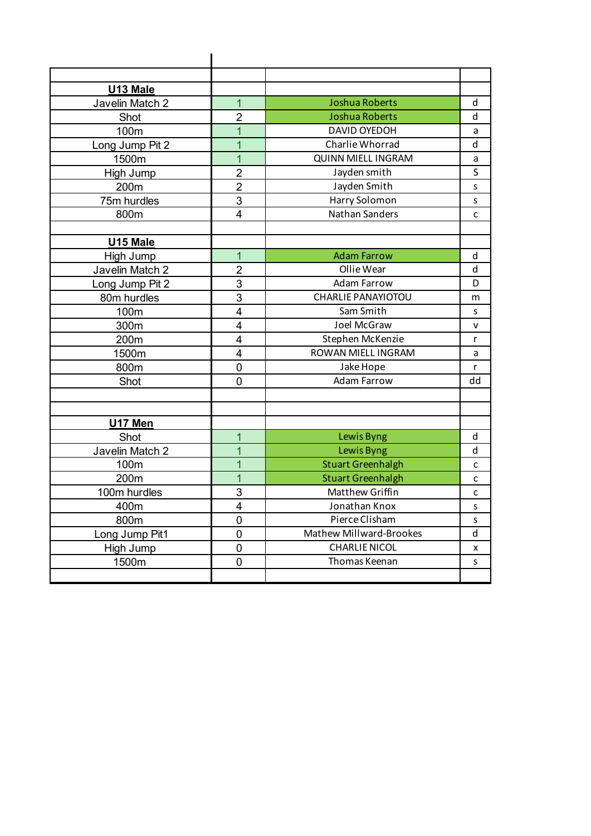| U13 Male        |                         |                           |              |
|-----------------|-------------------------|---------------------------|--------------|
| Javelin Match 2 | $\overline{1}$          | <b>Joshua Roberts</b>     | d            |
| Shot            | $\overline{2}$          | <b>Joshua Roberts</b>     | d            |
| 100m            | 1                       | <b>DAVID OYEDOH</b>       | a            |
| Long Jump Pit 2 | $\overline{1}$          | Charlie Whorrad           | d            |
| 1500m           | $\overline{1}$          | <b>QUINN MIELL INGRAM</b> | a            |
| High Jump       | $\overline{2}$          | Jayden smith              | S            |
| 200m            | $\overline{2}$          | Jayden Smith              | S            |
| 75m hurdles     | 3                       | Harry Solomon             | S            |
| 800m            | $\overline{4}$          | <b>Nathan Sanders</b>     | c            |
|                 |                         |                           |              |
| U15 Male        |                         |                           |              |
| High Jump       | 1                       | <b>Adam Farrow</b>        | d            |
| Javelin Match 2 | $\overline{2}$          | Ollie Wear                | d            |
| Long Jump Pit 2 | 3                       | <b>Adam Farrow</b>        | D            |
| 80m hurdles     | $\overline{3}$          | <b>CHARLIE PANAYIOTOU</b> | m            |
| 100m            | $\overline{4}$          | Sam Smith                 | S            |
| 300m            | $\overline{\mathbf{4}}$ | Joel McGraw               | v            |
| 200m            | $\overline{\mathbf{4}}$ | Stephen McKenzie          | r            |
| 1500m           | $\overline{4}$          | ROWAN MIELL INGRAM        |              |
| 800m            | $\mathbf 0$             | Jake Hope                 | r            |
| Shot            | $\mathbf 0$             | <b>Adam Farrow</b>        | dd           |
|                 |                         |                           |              |
|                 |                         |                           |              |
| U17 Men         |                         |                           |              |
| Shot            | 1                       | Lewis Byng                | d            |
| Javelin Match 2 | $\overline{1}$          | Lewis Byng                | d            |
| 100m            | $\overline{1}$          | <b>Stuart Greenhalgh</b>  | $\mathsf{C}$ |
| 200m            | $\overline{1}$          | <b>Stuart Greenhalgh</b>  | c            |
| 100m hurdles    | 3                       | Matthew Griffin           | C            |
| 400m            | 4                       | Jonathan Knox             | S            |
| 800m            | $\overline{0}$          | Pierce Clisham            | S            |
| Long Jump Pit1  | $\pmb{0}$               | Mathew Millward-Brookes   | $\sf d$      |
| High Jump       | $\mathbf 0$             | <b>CHARLIE NICOL</b>      | X            |
| 1500m           | 0                       | Thomas Keenan             | S            |
|                 |                         |                           |              |
|                 |                         |                           |              |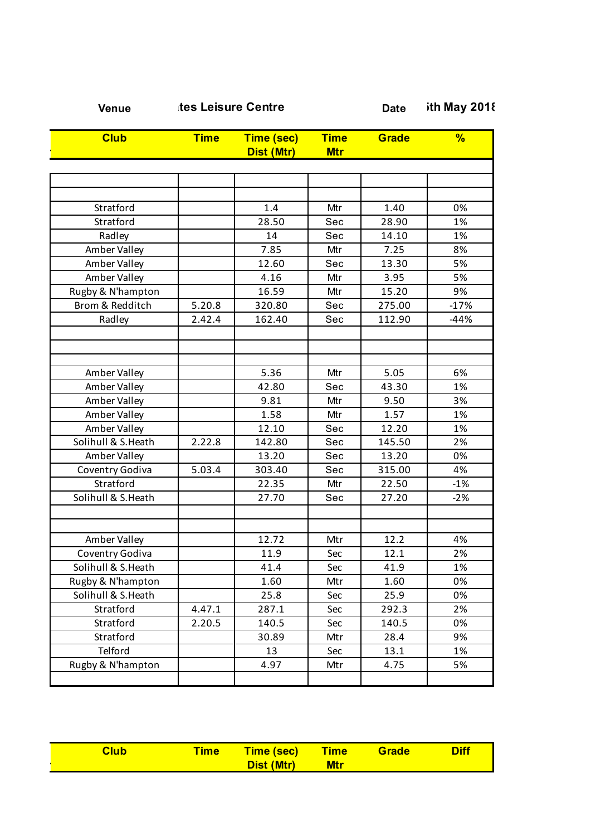| <b>Club</b>        | <b>Time</b> | Time (sec)<br><b>Dist (Mtr)</b> | <b>Time</b><br><b>Mtr</b> | <b>Grade</b> | %      |
|--------------------|-------------|---------------------------------|---------------------------|--------------|--------|
|                    |             |                                 |                           |              |        |
|                    |             |                                 |                           |              |        |
|                    |             |                                 |                           |              |        |
| Stratford          |             | 1.4                             | Mtr                       | 1.40         | 0%     |
| Stratford          |             | 28.50                           | Sec                       | 28.90        | 1%     |
| Radley             |             | 14                              | Sec                       | 14.10        | 1%     |
| Amber Valley       |             | 7.85                            | Mtr                       | 7.25         | 8%     |
| Amber Valley       |             | 12.60                           | Sec                       | 13.30        | 5%     |
| Amber Valley       |             | 4.16                            | Mtr                       | 3.95         | 5%     |
| Rugby & N'hampton  |             | 16.59                           | Mtr                       | 15.20        | 9%     |
| Brom & Redditch    | 5.20.8      | 320.80                          | Sec                       | 275.00       | $-17%$ |
| Radley             | 2.42.4      | 162.40                          | Sec                       | 112.90       | $-44%$ |
|                    |             |                                 |                           |              |        |
|                    |             |                                 |                           |              |        |
|                    |             |                                 |                           |              |        |
| Amber Valley       |             | 5.36                            | Mtr                       | 5.05         | 6%     |
| Amber Valley       |             | 42.80                           | Sec                       | 43.30        | 1%     |
| Amber Valley       |             | 9.81                            | Mtr                       | 9.50         | 3%     |
| Amber Valley       |             | 1.58                            | Mtr                       | 1.57         | 1%     |
| Amber Valley       |             | 12.10                           | Sec                       | 12.20        | 1%     |
| Solihull & S.Heath | 2.22.8      | 142.80                          | Sec                       | 145.50       | 2%     |
| Amber Valley       |             | 13.20                           | Sec                       | 13.20        | 0%     |
| Coventry Godiva    | 5.03.4      | 303.40                          | Sec                       | 315.00       | 4%     |
| Stratford          |             | 22.35                           | Mtr                       | 22.50        | $-1%$  |
| Solihull & S.Heath |             | 27.70                           | Sec                       | 27.20        | $-2%$  |
|                    |             |                                 |                           |              |        |
|                    |             |                                 |                           |              |        |
| Amber Valley       |             | 12.72                           | Mtr                       | 12.2         | 4%     |
| Coventry Godiva    |             | 11.9                            | Sec                       | 12.1         | 2%     |
| Solihull & S.Heath |             | 41.4                            | Sec                       | 41.9         | 1%     |
| Rugby & N'hampton  |             | 1.60                            | Mtr                       | 1.60         | 0%     |
| Solihull & S.Heath |             | 25.8                            | Sec                       | 25.9         | 0%     |
| Stratford          | 4.47.1      | 287.1                           | Sec                       | 292.3        | 2%     |
| Stratford          | 2.20.5      | 140.5                           | Sec                       | 140.5        | 0%     |
| Stratford          |             | 30.89                           | Mtr                       | 28.4         | 9%     |
| Telford            |             | 13                              | Sec                       | 13.1         | 1%     |
| Rugby & N'hampton  |             | 4.97                            | Mtr                       | 4.75         | 5%     |
|                    |             |                                 |                           |              |        |

| Club | <b>Time</b> | <b>Time (sec)</b> | <b>Time</b> | <b>Grade</b> | <b>Diff</b> |
|------|-------------|-------------------|-------------|--------------|-------------|
|      |             | <b>Dist (Mtr)</b> | <b>Mtr</b>  |              |             |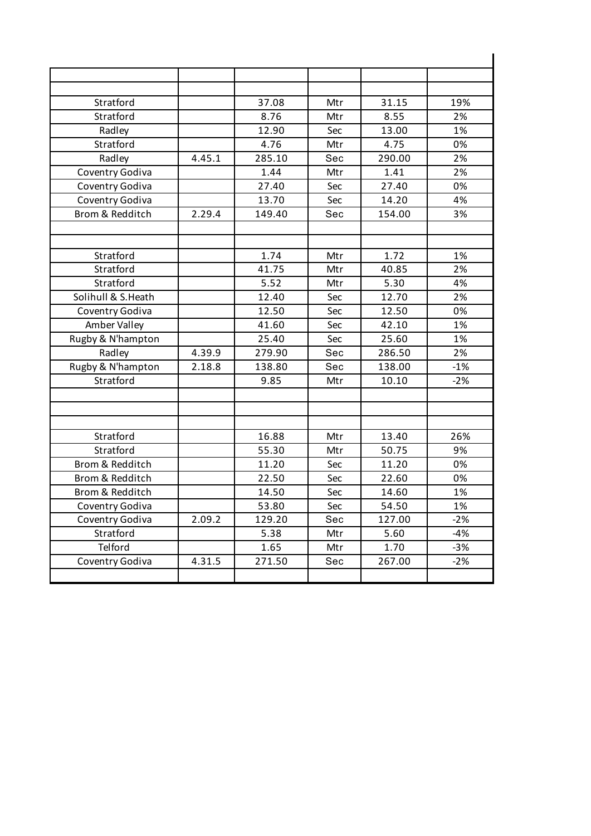| Stratford          |        | 37.08  | Mtr | 31.15  | 19%   |
|--------------------|--------|--------|-----|--------|-------|
| Stratford          |        | 8.76   | Mtr | 8.55   | 2%    |
| Radley             |        | 12.90  | Sec | 13.00  | 1%    |
| Stratford          |        | 4.76   | Mtr | 4.75   | 0%    |
| Radley             | 4.45.1 | 285.10 | Sec | 290.00 | 2%    |
| Coventry Godiva    |        | 1.44   | Mtr | 1.41   | 2%    |
| Coventry Godiva    |        | 27.40  | Sec | 27.40  | 0%    |
| Coventry Godiva    |        | 13.70  | Sec | 14.20  | 4%    |
| Brom & Redditch    | 2.29.4 | 149.40 | Sec | 154.00 | 3%    |
|                    |        |        |     |        |       |
|                    |        |        |     |        |       |
| Stratford          |        | 1.74   | Mtr | 1.72   | 1%    |
| Stratford          |        | 41.75  | Mtr | 40.85  | 2%    |
| Stratford          |        | 5.52   | Mtr | 5.30   | 4%    |
| Solihull & S.Heath |        | 12.40  | Sec | 12.70  | 2%    |
| Coventry Godiva    |        | 12.50  | Sec | 12.50  | 0%    |
| Amber Valley       |        | 41.60  | Sec | 42.10  | 1%    |
| Rugby & N'hampton  |        | 25.40  | Sec | 25.60  | 1%    |
| Radley             | 4.39.9 | 279.90 | Sec | 286.50 | 2%    |
| Rugby & N'hampton  | 2.18.8 | 138.80 | Sec | 138.00 | $-1%$ |
| Stratford          |        | 9.85   | Mtr | 10.10  | $-2%$ |
|                    |        |        |     |        |       |
|                    |        |        |     |        |       |
|                    |        |        |     |        |       |
| Stratford          |        | 16.88  | Mtr | 13.40  | 26%   |
| Stratford          |        | 55.30  | Mtr | 50.75  | 9%    |
| Brom & Redditch    |        | 11.20  | Sec | 11.20  | 0%    |
| Brom & Redditch    |        | 22.50  | Sec | 22.60  | 0%    |
| Brom & Redditch    |        | 14.50  | Sec | 14.60  | 1%    |
| Coventry Godiva    |        | 53.80  | Sec | 54.50  | 1%    |
| Coventry Godiva    | 2.09.2 | 129.20 | Sec | 127.00 | $-2%$ |
| Stratford          |        | 5.38   | Mtr | 5.60   | $-4%$ |
| Telford            |        | 1.65   | Mtr | 1.70   | $-3%$ |
| Coventry Godiva    | 4.31.5 | 271.50 | Sec | 267.00 | $-2%$ |
|                    |        |        |     |        |       |
|                    |        |        |     |        |       |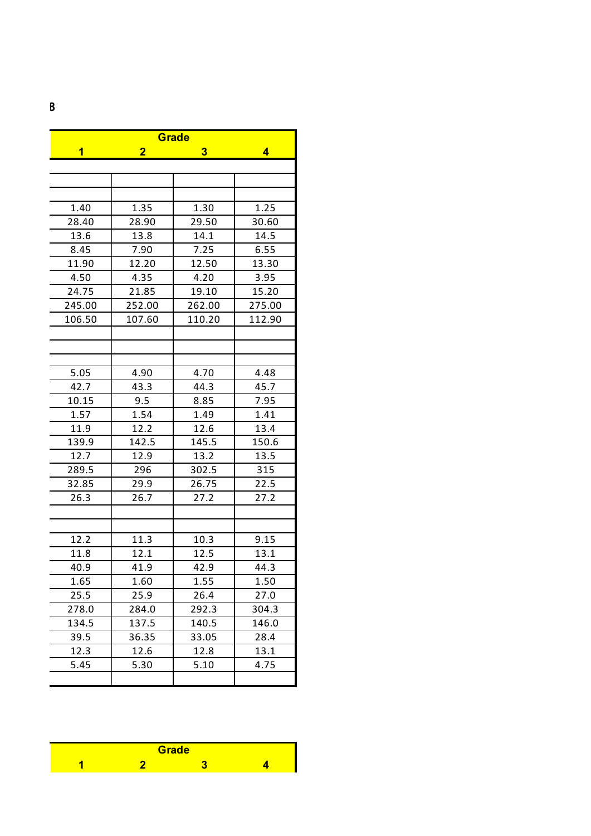|                | <b>Grade</b><br>$\overline{\mathbf{1}}$<br>$\overline{\mathbf{3}}$<br>$\overline{2}$<br>4 |                |                |  |  |
|----------------|-------------------------------------------------------------------------------------------|----------------|----------------|--|--|
|                |                                                                                           |                |                |  |  |
|                |                                                                                           |                |                |  |  |
|                |                                                                                           |                |                |  |  |
| 1.40           | 1.35                                                                                      | 1.30           | 1.25           |  |  |
| 28.40          | 28.90                                                                                     | 29.50          | 30.60          |  |  |
| 13.6           | 13.8                                                                                      | 14.1           | 14.5           |  |  |
| 8.45           | 7.90                                                                                      | 7.25           | 6.55           |  |  |
| 11.90          | 12.20                                                                                     | 12.50          | 13.30          |  |  |
| 4.50           | 4.35                                                                                      | 4.20           | 3.95           |  |  |
| 24.75          | 21.85                                                                                     | 19.10          | 15.20          |  |  |
| 245.00         | 252.00                                                                                    | 262.00         | 275.00         |  |  |
| 106.50         | 107.60                                                                                    | 110.20         | 112.90         |  |  |
|                |                                                                                           |                |                |  |  |
|                |                                                                                           |                |                |  |  |
|                |                                                                                           |                |                |  |  |
| 5.05           | 4.90                                                                                      | 4.70           | 4.48           |  |  |
| 42.7           | 43.3                                                                                      | 44.3           | 45.7           |  |  |
| 10.15          | 9.5                                                                                       | 8.85           | 7.95           |  |  |
| 1.57           | 1.54                                                                                      | 1.49           | 1.41           |  |  |
| 11.9           | 12.2                                                                                      | 12.6           | 13.4           |  |  |
| 139.9          | 142.5                                                                                     | 145.5          | 150.6          |  |  |
| 12.7           | 12.9                                                                                      | 13.2           | 13.5           |  |  |
| 289.5          | 296                                                                                       | 302.5          | 315            |  |  |
| 32.85          | 29.9                                                                                      | 26.75          | 22.5           |  |  |
| 26.3           | 26.7                                                                                      | 27.2           | 27.2           |  |  |
|                |                                                                                           |                |                |  |  |
|                |                                                                                           |                |                |  |  |
| 12.2           | 11.3                                                                                      | 10.3           | 9.15           |  |  |
| 11.8           | 12.1                                                                                      | 12.5           | 13.1           |  |  |
| 40.9           | 41.9                                                                                      | 42.9           | 44.3           |  |  |
| 1.65           | 1.60                                                                                      | 1.55           | 1.50           |  |  |
| 25.5           | 25.9                                                                                      | 26.4           | 27.0           |  |  |
| 278.0<br>134.5 | 284.0<br>137.5                                                                            | 292.3<br>140.5 | 304.3<br>146.0 |  |  |
| 39.5           |                                                                                           |                | 28.4           |  |  |
| 12.3           | 36.35<br>12.6                                                                             | 33.05<br>12.8  | 13.1           |  |  |
| 5.45           | 5.30                                                                                      | 5.10           | 4.75           |  |  |
|                |                                                                                           |                |                |  |  |

| Grade |  |  |  |  |  |  |
|-------|--|--|--|--|--|--|
|       |  |  |  |  |  |  |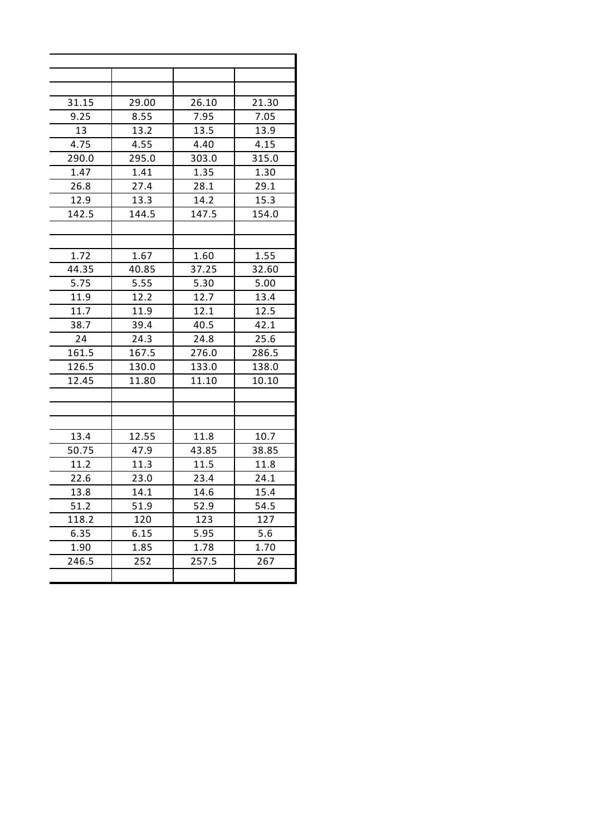| 31.15 | 29.00 | 26.10 | 21.30 |
|-------|-------|-------|-------|
| 9.25  | 8.55  | 7.95  | 7.05  |
| 13    | 13.2  | 13.5  | 13.9  |
| 4.75  | 4.55  | 4.40  | 4.15  |
| 290.0 | 295.0 | 303.0 | 315.0 |
| 1.47  | 1.41  | 1.35  | 1.30  |
| 26.8  | 27.4  | 28.1  | 29.1  |
| 12.9  | 13.3  | 14.2  | 15.3  |
| 142.5 | 144.5 | 147.5 | 154.0 |
|       |       |       |       |
|       |       |       |       |
| 1.72  | 1.67  | 1.60  | 1.55  |
| 44.35 | 40.85 | 37.25 | 32.60 |
| 5.75  | 5.55  | 5.30  | 5.00  |
| 11.9  | 12.2  | 12.7  | 13.4  |
| 11.7  | 11.9  | 12.1  | 12.5  |
| 38.7  | 39.4  | 40.5  | 42.1  |
| 24    | 24.3  | 24.8  | 25.6  |
| 161.5 | 167.5 | 276.0 | 286.5 |
| 126.5 | 130.0 | 133.0 | 138.0 |
| 12.45 | 11.80 | 11.10 | 10.10 |
|       |       |       |       |
|       |       |       |       |
|       |       |       |       |
| 13.4  | 12.55 | 11.8  | 10.7  |
| 50.75 | 47.9  | 43.85 | 38.85 |
| 11.2  | 11.3  | 11.5  | 11.8  |
| 22.6  | 23.0  | 23.4  | 24.1  |
| 13.8  | 14.1  | 14.6  | 15.4  |
| 51.2  | 51.9  | 52.9  | 54.5  |
| 118.2 | 120   | 123   | 127   |
| 6.35  | 6.15  | 5.95  | 5.6   |
| 1.90  | 1.85  | 1.78  | 1.70  |
| 246.5 | 252   | 257.5 | 267   |
|       |       |       |       |
|       |       |       |       |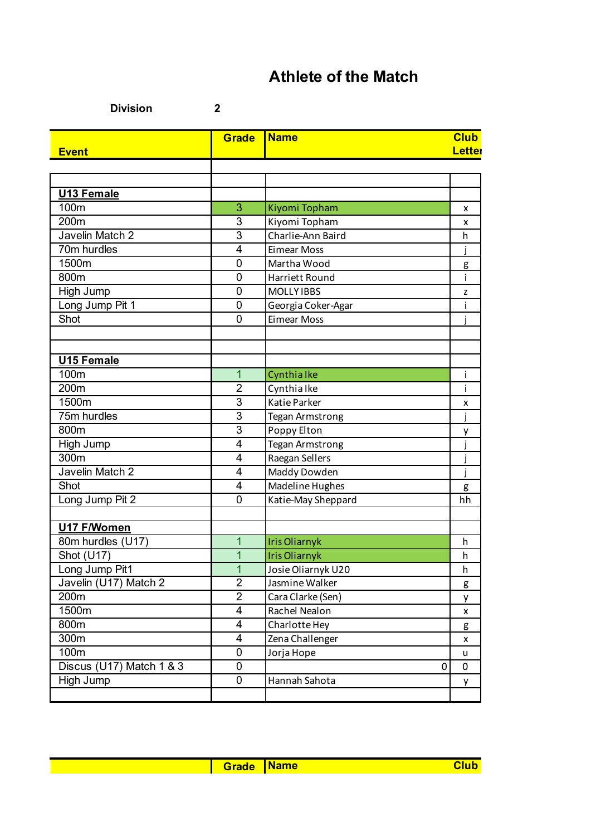**Division 2**

|                          | <b>Grade</b>   | <b>Name</b>            | <b>Club</b>        |
|--------------------------|----------------|------------------------|--------------------|
| <b>Event</b>             |                |                        | <b>Letter</b>      |
|                          |                |                        |                    |
|                          |                |                        |                    |
| <b>U13 Female</b>        |                |                        |                    |
| 100m                     | 3              | Kiyomi Topham          | x                  |
| 200m                     | 3              | Kiyomi Topham          | x                  |
| Javelin Match 2          | $\overline{3}$ | Charlie-Ann Baird      | h                  |
| 70m hurdles              | $\overline{4}$ | <b>Eimear Moss</b>     |                    |
| 1500m                    | $\mathbf 0$    | Martha Wood            | g                  |
| 800m                     | $\mathbf 0$    | Harriett Round         | i.                 |
| High Jump                | $\mathbf 0$    | <b>MOLLY IBBS</b>      | Z                  |
| Long Jump Pit 1          | $\mathbf 0$    | Georgia Coker-Agar     | i.                 |
| Shot                     | 0              | <b>Eimear Moss</b>     |                    |
|                          |                |                        |                    |
|                          |                |                        |                    |
| <b>U15 Female</b>        |                |                        |                    |
| 100m                     | $\overline{1}$ | Cynthia Ike            | İ                  |
| 200m                     | $\overline{2}$ | Cynthia Ike            | i.                 |
| 1500m                    | $\overline{3}$ | Katie Parker           | x                  |
| 75m hurdles              | $\overline{3}$ | <b>Tegan Armstrong</b> |                    |
| 800m                     | 3              | Poppy Elton            | у                  |
| High Jump                | $\overline{4}$ | Tegan Armstrong        |                    |
| 300m                     | $\overline{4}$ | Raegan Sellers         |                    |
| Javelin Match 2          | 4              | Maddy Dowden           | Ť                  |
| Shot                     | $\overline{4}$ | Madeline Hughes        | g                  |
| Long Jump Pit 2          | $\mathbf 0$    | Katie-May Sheppard     | hh                 |
|                          |                |                        |                    |
| U17 F/Women              |                |                        |                    |
| 80m hurdles (U17)        | $\overline{1}$ | Iris Oliarnyk          | h                  |
| Shot (U17)               | $\overline{1}$ | <b>Iris Oliarnyk</b>   | h                  |
| Long Jump Pit1           | $\overline{1}$ | Josie Oliarnyk U20     | h                  |
| Javelin (U17) Match 2    | $\overline{2}$ | Jasmine Walker         | g                  |
| 200m                     | $\overline{2}$ | Cara Clarke (Sen)      | y                  |
| 1500m                    | $\overline{4}$ | Rachel Nealon          | $\pmb{\mathsf{x}}$ |
| 800m                     | $\overline{4}$ | Charlotte Hey          | g                  |
| 300m                     | 4              | Zena Challenger        | x                  |
| 100m                     | $\mathbf 0$    | Jorja Hope             | u                  |
| Discus (U17) Match 1 & 3 | 0              | 0                      | 0                  |
| High Jump                | 0              | Hannah Sahota          | y                  |
|                          |                |                        |                    |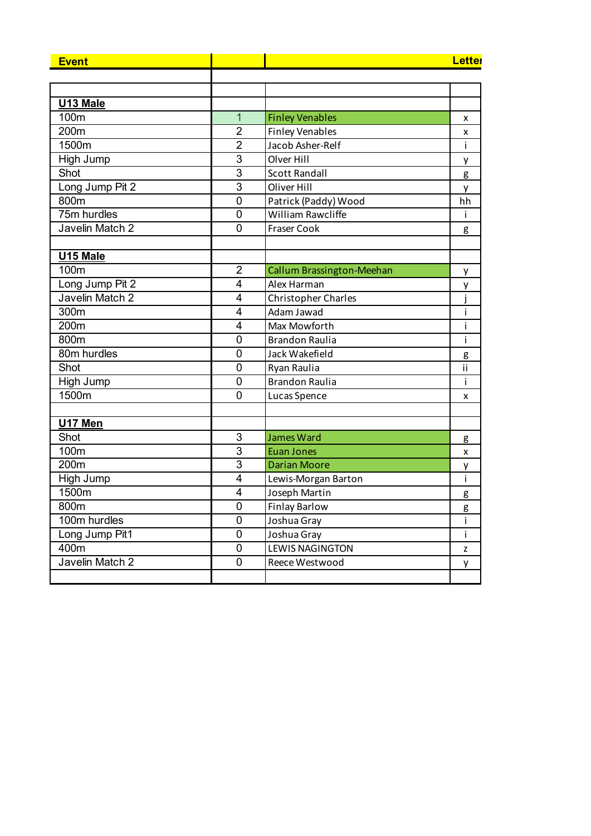| <b>Event</b>    |                |                                  | Letter                                                                                                            |
|-----------------|----------------|----------------------------------|-------------------------------------------------------------------------------------------------------------------|
|                 |                |                                  |                                                                                                                   |
|                 |                |                                  |                                                                                                                   |
| U13 Male        |                |                                  |                                                                                                                   |
| 100m            | $\overline{1}$ | <b>Finley Venables</b>           | x                                                                                                                 |
| 200m            | $\overline{2}$ | <b>Finley Venables</b>           | x                                                                                                                 |
| 1500m           | $\overline{2}$ | Jacob Asher-Relf                 | i.                                                                                                                |
| High Jump       | 3              | Olver Hill                       | у                                                                                                                 |
| Shot            | $\overline{3}$ | <b>Scott Randall</b>             | g                                                                                                                 |
| Long Jump Pit 2 | $\overline{3}$ | Oliver Hill                      | y                                                                                                                 |
| 800m            | $\mathbf 0$    | Patrick (Paddy) Wood             | hh                                                                                                                |
| 75m hurdles     | $\mathbf 0$    | William Rawcliffe                | Ť                                                                                                                 |
| Javelin Match 2 | $\overline{0}$ | <b>Fraser Cook</b>               | g                                                                                                                 |
|                 |                |                                  |                                                                                                                   |
| U15 Male        |                |                                  |                                                                                                                   |
| 100m            | $\overline{2}$ | <b>Callum Brassington-Meehan</b> | у                                                                                                                 |
| Long Jump Pit 2 | $\overline{4}$ | Alex Harman                      | у                                                                                                                 |
| Javelin Match 2 | $\overline{4}$ | <b>Christopher Charles</b>       | j                                                                                                                 |
| 300m            | 4              | Adam Jawad                       | İ.                                                                                                                |
| 200m            | $\overline{4}$ | Max Mowforth                     | İ                                                                                                                 |
| 800m            | $\mathbf 0$    | <b>Brandon Raulia</b>            | i                                                                                                                 |
| 80m hurdles     | $\mathbf 0$    | Jack Wakefield                   | g                                                                                                                 |
| Shot            | $\mathbf 0$    | Ryan Raulia                      | ij                                                                                                                |
| High Jump       | $\mathbf 0$    | <b>Brandon Raulia</b>            | Ť                                                                                                                 |
| 1500m           | $\overline{0}$ | Lucas Spence                     | x                                                                                                                 |
|                 |                |                                  |                                                                                                                   |
| U17 Men         |                |                                  |                                                                                                                   |
| Shot            | 3              | <b>James Ward</b>                | g                                                                                                                 |
| 100m            | 3              | <b>Euan Jones</b>                | x                                                                                                                 |
| 200m            | 3              | <b>Darian Moore</b>              | у                                                                                                                 |
| High Jump       | 4              | Lewis-Morgan Barton              | İ.                                                                                                                |
| 1500m           | $\overline{4}$ | Joseph Martin                    | g                                                                                                                 |
| 800m            | $\mathbf 0$    | <b>Finlay Barlow</b>             | g                                                                                                                 |
| 100m hurdles    | $\mathbf 0$    | Joshua Gray                      | İ.                                                                                                                |
| Long Jump Pit1  | $\mathbf 0$    | Joshua Gray                      | İ.                                                                                                                |
| 400m            | $\pmb{0}$      | <b>LEWIS NAGINGTON</b>           | $\mathsf{Z}% _{M_{1},M_{2}}^{\alpha,\beta}(\mathbb{R})\subset\mathsf{Z}_{M_{1},M_{2}}^{\alpha,\beta}(\mathbb{R})$ |
| Javelin Match 2 | $\mathbf 0$    | Reece Westwood                   | у                                                                                                                 |
|                 |                |                                  |                                                                                                                   |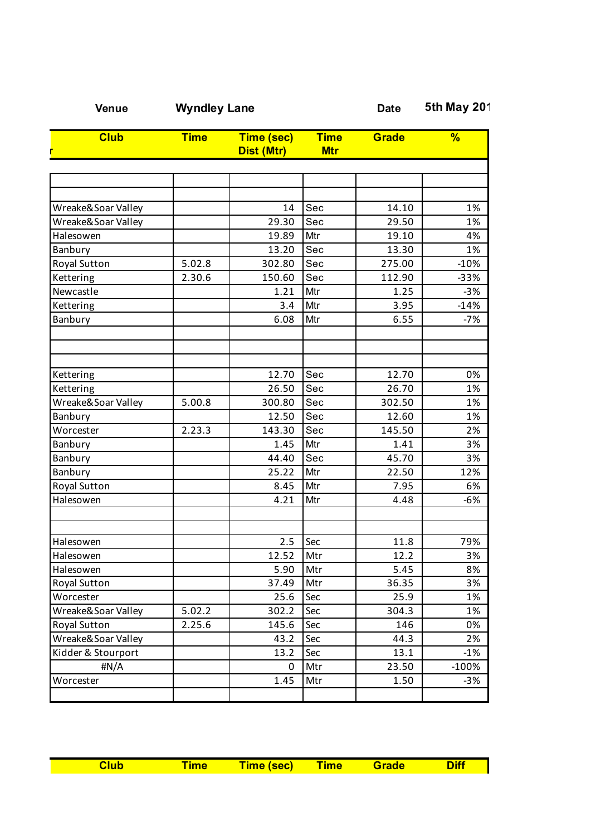| enue/ |
|-------|
|-------|

| <b>Club</b>         | <b>Time</b> | <b>Time (sec)</b><br><b>Dist (Mtr)</b> | <b>Time</b><br><b>Mtr</b> | <b>Grade</b> | %       |
|---------------------|-------------|----------------------------------------|---------------------------|--------------|---------|
|                     |             |                                        |                           |              |         |
|                     |             |                                        |                           |              |         |
|                     |             |                                        |                           |              |         |
| Wreake&Soar Valley  |             | 14                                     | Sec                       | 14.10        |         |
| Wreake&Soar Valley  |             | 29.30                                  | Sec                       | 29.50        |         |
| Halesowen           |             | 19.89                                  | Mtr                       | 19.10        |         |
| Banbury             |             | 13.20                                  | Sec                       | 13.30        |         |
| <b>Royal Sutton</b> | 5.02.8      | 302.80                                 | Sec                       | 275.00       | $-10%$  |
| Kettering           | 2.30.6      | 150.60                                 | Sec                       | 112.90       | $-33%$  |
| Newcastle           |             | 1.21                                   | Mtr                       | 1.25         | $-3%$   |
| Kettering           |             | 3.4                                    | Mtr                       | 3.95         | $-14%$  |
| Banbury             |             | 6.08                                   | Mtr                       | 6.55         | $-7%$   |
|                     |             |                                        |                           |              |         |
|                     |             |                                        |                           |              |         |
| Kettering           |             | 12.70                                  | Sec                       | 12.70        |         |
| Kettering           |             | 26.50                                  | Sec                       | 26.70        |         |
| Wreake&Soar Valley  | 5.00.8      | 300.80                                 | Sec                       | 302.50       |         |
| Banbury             |             | 12.50                                  | Sec                       | 12.60        |         |
| Worcester           | 2.23.3      | 143.30                                 | Sec                       | 145.50       |         |
| Banbury             |             | 1.45                                   | Mtr                       | 1.41         |         |
| Banbury             |             | 44.40                                  | Sec                       | 45.70        |         |
| Banbury             |             | 25.22                                  | Mtr                       | 22.50        | 12%     |
| <b>Royal Sutton</b> |             | 8.45                                   | Mtr                       | 7.95         |         |
| Halesowen           |             | 4.21                                   | Mtr                       | 4.48         | $-6%$   |
|                     |             |                                        |                           |              |         |
| Halesowen           |             | 2.5                                    | Sec                       | 11.8         | 79%     |
| Halesowen           |             | 12.52                                  | Mtr                       | 12.2         |         |
| Halesowen           |             | 5.90                                   | Mtr                       | 5.45         |         |
| Royal Sutton        |             | 37.49                                  | Mtr                       | 36.35        |         |
| Worcester           |             | 25.6                                   | Sec                       | 25.9         |         |
| Wreake&Soar Valley  | 5.02.2      | 302.2                                  | Sec                       | 304.3        |         |
| Royal Sutton        | 2.25.6      | 145.6                                  | Sec                       | 146          |         |
| Wreake&Soar Valley  |             | 43.2                                   | Sec                       | 44.3         |         |
| Kidder & Stourport  |             | 13.2                                   | Sec                       | 13.1         |         |
| #N/A                |             | 0                                      | Mtr                       | 23.50        | $-100%$ |
|                     |             | 1.45                                   | Mtr                       | 1.50         | $-3%$   |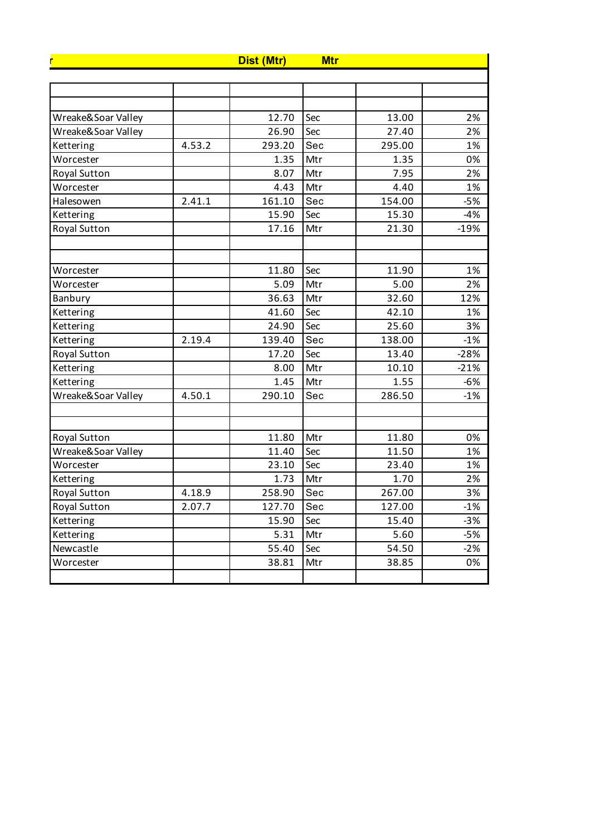|                     |        | <b>Dist (Mtr)</b> | <b>Mtr</b> |        |        |
|---------------------|--------|-------------------|------------|--------|--------|
|                     |        |                   |            |        |        |
|                     |        |                   |            |        |        |
| Wreake&Soar Valley  |        | 12.70             | Sec        | 13.00  |        |
| Wreake&Soar Valley  |        | 26.90             | Sec        | 27.40  |        |
| Kettering           | 4.53.2 | 293.20            | Sec        | 295.00 |        |
| Worcester           |        | 1.35              | Mtr        | 1.35   |        |
| Royal Sutton        |        | 8.07              | Mtr        | 7.95   |        |
| Worcester           |        | 4.43              | Mtr        | 4.40   |        |
| Halesowen           | 2.41.1 | 161.10            | Sec        | 154.00 |        |
| Kettering           |        | 15.90             | Sec        | 15.30  |        |
| <b>Royal Sutton</b> |        | 17.16             | Mtr        | 21.30  | $-19%$ |
|                     |        |                   |            |        |        |
| Worcester           |        | 11.80             | Sec        | 11.90  |        |
| Worcester           |        | 5.09              | Mtr        | 5.00   |        |
| Banbury             |        | 36.63             | Mtr        | 32.60  | 12%    |
| Kettering           |        | 41.60             | Sec        | 42.10  |        |
| Kettering           |        | 24.90             | Sec        | 25.60  |        |
| Kettering           | 2.19.4 | 139.40            | Sec        | 138.00 |        |
| <b>Royal Sutton</b> |        | 17.20             | Sec        | 13.40  | $-28%$ |
| Kettering           |        | 8.00              | Mtr        | 10.10  | $-21%$ |
| Kettering           |        | 1.45              | Mtr        | 1.55   |        |
| Wreake&Soar Valley  | 4.50.1 | 290.10            | Sec        | 286.50 |        |
|                     |        |                   |            |        |        |
| Royal Sutton        |        | 11.80             | Mtr        | 11.80  |        |
| Wreake&Soar Valley  |        | 11.40             | Sec        | 11.50  |        |
| Worcester           |        | 23.10             | Sec        | 23.40  |        |
| Kettering           |        | 1.73              | Mtr        | 1.70   |        |
| <b>Royal Sutton</b> | 4.18.9 | 258.90            | Sec        | 267.00 |        |
| Royal Sutton        | 2.07.7 | 127.70            | Sec        | 127.00 |        |
| Kettering           |        | 15.90             | Sec        | 15.40  |        |
| Kettering           |        | 5.31              | Mtr        | 5.60   |        |
| Newcastle           |        | 55.40             | Sec        | 54.50  |        |
| Worcester           |        | 38.81             | Mtr        | 38.85  |        |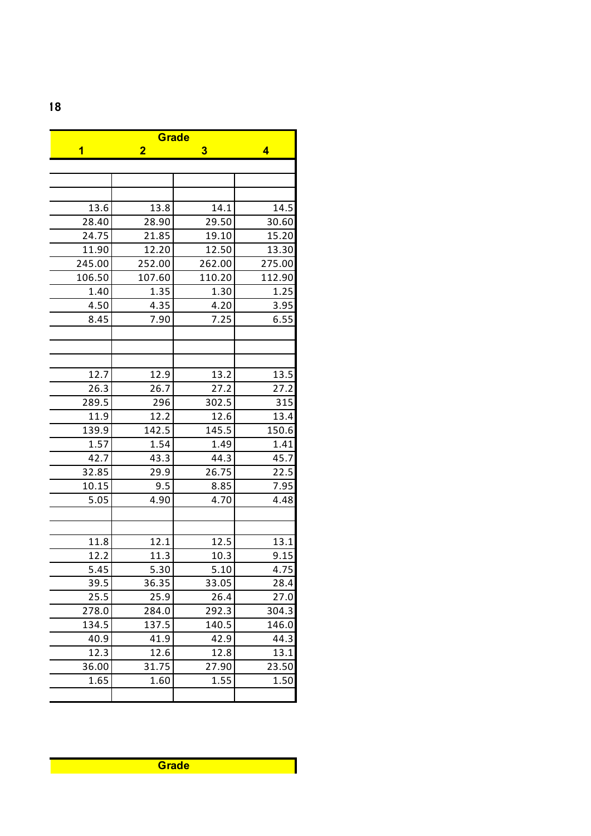|                         | Grade          |                         |        |  |  |  |  |
|-------------------------|----------------|-------------------------|--------|--|--|--|--|
| $\overline{\mathbf{1}}$ | $\overline{2}$ | $\overline{\mathbf{3}}$ | 4      |  |  |  |  |
|                         |                |                         |        |  |  |  |  |
|                         |                |                         |        |  |  |  |  |
|                         |                |                         |        |  |  |  |  |
| 13.6                    | 13.8           | 14.1                    | 14.5   |  |  |  |  |
| 28.40                   | 28.90          | 29.50                   | 30.60  |  |  |  |  |
| 24.75                   | 21.85          | 19.10                   | 15.20  |  |  |  |  |
| 11.90                   | 12.20          | 12.50                   | 13.30  |  |  |  |  |
| 245.00                  | 252.00         | 262.00                  | 275.00 |  |  |  |  |
| 106.50                  | 107.60         | 110.20                  | 112.90 |  |  |  |  |
| 1.40                    | 1.35           | 1.30                    | 1.25   |  |  |  |  |
| 4.50                    | 4.35           | 4.20                    | 3.95   |  |  |  |  |
| 8.45                    | 7.90           | 7.25                    | 6.55   |  |  |  |  |
|                         |                |                         |        |  |  |  |  |
|                         |                |                         |        |  |  |  |  |
|                         |                |                         |        |  |  |  |  |
| 12.7                    | 12.9           | 13.2                    | 13.5   |  |  |  |  |
| 26.3                    | 26.7           | 27.2                    | 27.2   |  |  |  |  |
| 289.5                   | 296            | 302.5                   | 315    |  |  |  |  |
| 11.9                    | 12.2           | 12.6                    | 13.4   |  |  |  |  |
| 139.9                   | 142.5          | 145.5                   | 150.6  |  |  |  |  |
| 1.57                    | 1.54           | 1.49                    | 1.41   |  |  |  |  |
| 42.7                    | 43.3           | 44.3                    | 45.7   |  |  |  |  |
| 32.85                   | 29.9           | 26.75                   | 22.5   |  |  |  |  |
| 10.15                   | 9.5            | 8.85                    | 7.95   |  |  |  |  |
| 5.05                    | 4.90           | 4.70                    | 4.48   |  |  |  |  |
|                         |                |                         |        |  |  |  |  |
|                         |                |                         |        |  |  |  |  |
| 11.8                    | 12.1           | 12.5                    | 13.1   |  |  |  |  |
| 12.2                    | 11.3           | 10.3                    | 9.15   |  |  |  |  |
| $5.45$                  | 5.30           | 5.10                    | 4.75   |  |  |  |  |
| 39.5                    | 36.35          | 33.05                   | 28.4   |  |  |  |  |
| 25.5                    | 25.9           | 26.4                    | 27.0   |  |  |  |  |
| 278.0                   | 284.0          | 292.3                   | 304.3  |  |  |  |  |
| 134.5                   | 137.5          | 140.5                   | 146.0  |  |  |  |  |
| 40.9                    | 41.9           | 42.9                    | 44.3   |  |  |  |  |
| 12.3                    | 12.6           | 12.8                    | 13.1   |  |  |  |  |
| 36.00                   | 31.75          | 27.90                   | 23.50  |  |  |  |  |
| 1.65                    | 1.60           | 1.55                    | 1.50   |  |  |  |  |
|                         |                |                         |        |  |  |  |  |

**5th May 2018**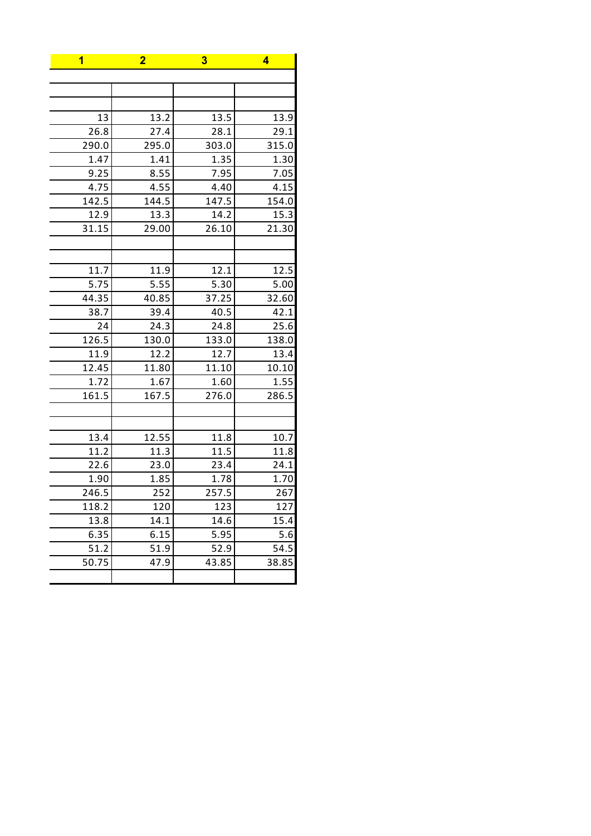| 1     | $\overline{2}$ |       | $\overline{\mathbf{4}}$ |  |
|-------|----------------|-------|-------------------------|--|
|       |                |       |                         |  |
|       |                |       |                         |  |
|       |                |       |                         |  |
| 13    | 13.2           | 13.5  | 13.9                    |  |
| 26.8  | 27.4           | 28.1  | 29.1                    |  |
| 290.0 | 295.0          | 303.0 | 315.0                   |  |
| 1.47  | 1.41           | 1.35  | 1.30                    |  |
| 9.25  | 8.55           | 7.95  | 7.05                    |  |
| 4.75  | 4.55           | 4.40  | 4.15                    |  |
| 142.5 | 144.5          | 147.5 | 154.0                   |  |
| 12.9  | 13.3           | 14.2  | 15.3                    |  |
| 31.15 | 29.00          | 26.10 | 21.30                   |  |
|       |                |       |                         |  |
|       |                |       |                         |  |
| 11.7  | 11.9           | 12.1  | 12.5                    |  |
| 5.75  | 5.55           | 5.30  | 5.00                    |  |
| 44.35 | 40.85          | 37.25 | 32.60                   |  |
| 38.7  | 39.4           | 40.5  | 42.1                    |  |
| 24    | 24.3           | 24.8  | 25.6                    |  |
| 126.5 | 130.0          | 133.0 | 138.0                   |  |
| 11.9  | 12.2           | 12.7  | 13.4                    |  |
| 12.45 | 11.80          | 11.10 | 10.10                   |  |
| 1.72  | 1.67           | 1.60  | 1.55                    |  |
| 161.5 | 167.5          | 276.0 | 286.5                   |  |
|       |                |       |                         |  |
|       |                |       |                         |  |
| 13.4  | 12.55          | 11.8  | 10.7                    |  |
| 11.2  | 11.3           | 11.5  | 11.8                    |  |
| 22.6  | 23.0           | 23.4  | 24.1                    |  |
| 1.90  | 1.85           | 1.78  | 1.70                    |  |
| 246.5 | 252            | 257.5 | 267                     |  |
| 118.2 | 120            | 123   | 127                     |  |
| 13.8  | 14.1           | 14.6  | 15.4                    |  |
| 6.35  | 6.15           | 5.95  | 5.6                     |  |
| 51.2  | 51.9           | 52.9  | 54.5                    |  |
| 50.75 | 47.9           | 43.85 | 38.85                   |  |
|       |                |       |                         |  |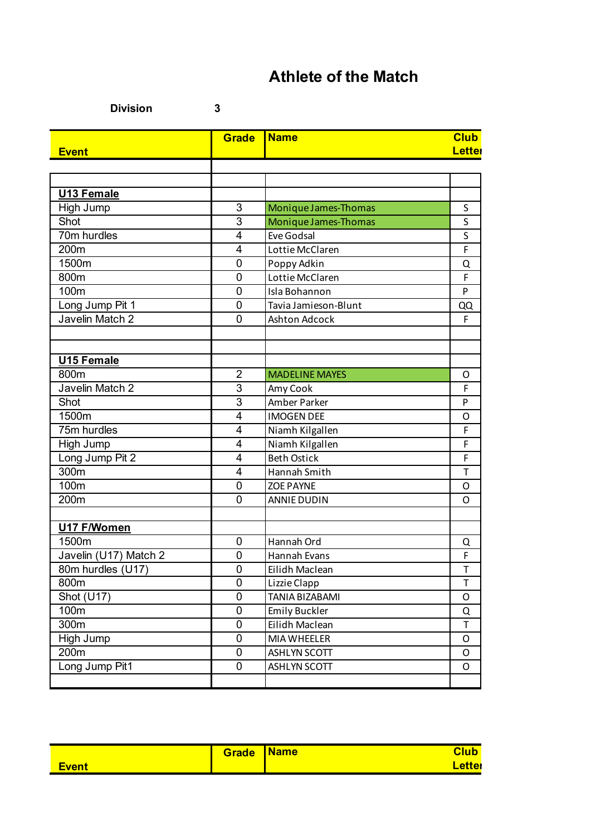**Division 3**

|                       | <b>Grade</b>   | <b>Name</b>           | <b>Club</b>   |
|-----------------------|----------------|-----------------------|---------------|
| <b>Event</b>          |                |                       | <b>Letter</b> |
|                       |                |                       |               |
|                       |                |                       |               |
| <b>U13 Female</b>     |                |                       |               |
| High Jump             | 3              | Monique James-Thomas  | S             |
| Shot                  | 3              | Monique James-Thomas  | S             |
| 70m hurdles           | $\overline{4}$ | <b>Eve Godsal</b>     | S             |
| 200 <sub>m</sub>      | $\overline{4}$ | Lottie McClaren       | F             |
| 1500m                 | $\mathbf 0$    | Poppy Adkin           | Q             |
| 800m                  | 0              | Lottie McClaren       | F             |
| 100m                  | $\mathbf 0$    | Isla Bohannon         | P             |
| Long Jump Pit 1       | 0              | Tavia Jamieson-Blunt  | QQ            |
| Javelin Match 2       | 0              | Ashton Adcock         | F             |
|                       |                |                       |               |
|                       |                |                       |               |
| <b>U15 Female</b>     |                |                       |               |
| 800m                  | $\overline{2}$ | <b>MADELINE MAYES</b> | O             |
| Javelin Match 2       | 3              | Amy Cook              | F             |
| Shot                  | $\overline{3}$ | Amber Parker          | P             |
| 1500m                 | $\overline{4}$ | <b>IMOGEN DEE</b>     | O             |
| 75m hurdles           | 4              | Niamh Kilgallen       | F             |
| High Jump             | 4              | Niamh Kilgallen       | F             |
| Long Jump Pit 2       | 4              | <b>Beth Ostick</b>    | F             |
| 300m                  | 4              | Hannah Smith          | T             |
| 100m                  | 0              | <b>ZOE PAYNE</b>      | O             |
| 200m                  | 0              | <b>ANNIE DUDIN</b>    | O             |
|                       |                |                       |               |
| U17 F/Women           |                |                       |               |
| 1500m                 | $\mathbf 0$    | Hannah Ord            | Q             |
| Javelin (U17) Match 2 | 0              | Hannah Evans          | F             |
| 80m hurdles (U17)     | 0              | Eilidh Maclean        | T             |
| 800m                  | 0              | Lizzie Clapp          | $\mathsf T$   |
| Shot (U17)            | 0              | <b>TANIA BIZABAMI</b> | O             |
| 100m                  | 0              | <b>Emily Buckler</b>  | Q             |
| 300m                  | 0              | Eilidh Maclean        | T             |
| High Jump             | 0              | <b>MIA WHEELER</b>    | O             |
| 200m                  | 0              | <b>ASHLYN SCOTT</b>   | O             |
| Long Jump Pit1        | 0              | ASHLYN SCOTT          | O             |
|                       |                |                       |               |

|              | Grade | <b>Name</b> | <b>Club</b> |
|--------------|-------|-------------|-------------|
| <b>Event</b> |       |             | .etteı      |
|              |       |             |             |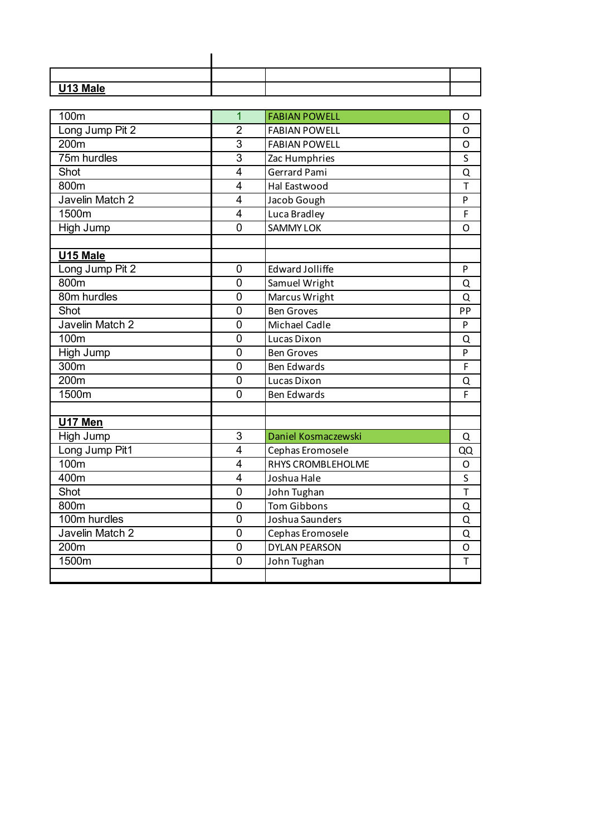| U13 Male |  |  |
|----------|--|--|

| 100m             | $\overline{1}$          | <b>FABIAN POWELL</b>     | O            |
|------------------|-------------------------|--------------------------|--------------|
| Long Jump Pit 2  | $\overline{2}$          | <b>FABIAN POWELL</b>     | O            |
| 200 <sub>m</sub> | $\overline{3}$          | <b>FABIAN POWELL</b>     | O            |
| 75m hurdles      | $\overline{3}$          | Zac Humphries            | S            |
| Shot             | $\overline{4}$          | <b>Gerrard Pami</b>      | Q            |
| 800m             | $\overline{4}$          | <b>Hal Eastwood</b>      | T            |
| Javelin Match 2  | $\overline{4}$          | Jacob Gough              | P            |
| 1500m            | $\overline{4}$          | Luca Bradley             | F            |
| High Jump        | $\overline{0}$          | <b>SAMMY LOK</b>         | O            |
|                  |                         |                          |              |
| U15 Male         |                         |                          |              |
| Long Jump Pit 2  | $\overline{0}$          | <b>Edward Jolliffe</b>   | P            |
| 800m             | $\mathbf 0$             | Samuel Wright            | Q            |
| 80m hurdles      | $\overline{0}$          | Marcus Wright            | Q            |
| Shot             | $\overline{0}$          | <b>Ben Groves</b>        | PP           |
| Javelin Match 2  | $\overline{0}$          | <b>Michael Cadle</b>     | P            |
| 100m             | $\mathbf 0$             | Lucas Dixon              | Q            |
| High Jump        | $\overline{0}$          | <b>Ben Groves</b>        | P            |
| 300m             | $\overline{0}$          | <b>Ben Edwards</b>       | F            |
| 200m             | $\overline{0}$          | Lucas Dixon              | Q            |
| 1500m            | $\overline{0}$          | <b>Ben Edwards</b>       | F            |
|                  |                         |                          |              |
| U17 Men          |                         |                          |              |
| High Jump        | $\overline{3}$          | Daniel Kosmaczewski      | Q            |
| Long Jump Pit1   | $\overline{\mathbf{4}}$ | Cephas Eromosele         | QQ           |
| 100m             | $\overline{4}$          | <b>RHYS CROMBLEHOLME</b> | O            |
| 400m             | $\overline{4}$          | Joshua Hale              | S            |
| Shot             | $\overline{0}$          | John Tughan              | $\mathsf{T}$ |
| 800m             | $\overline{0}$          | <b>Tom Gibbons</b>       | Q            |
| 100m hurdles     | $\overline{0}$          | Joshua Saunders          | $\Omega$     |
| Javelin Match 2  | $\overline{0}$          | Cephas Eromosele         | Q            |
| 200m             | $\overline{0}$          | <b>DYLAN PEARSON</b>     | O            |
| 1500m            | $\overline{0}$          | John Tughan              | T            |
|                  |                         |                          |              |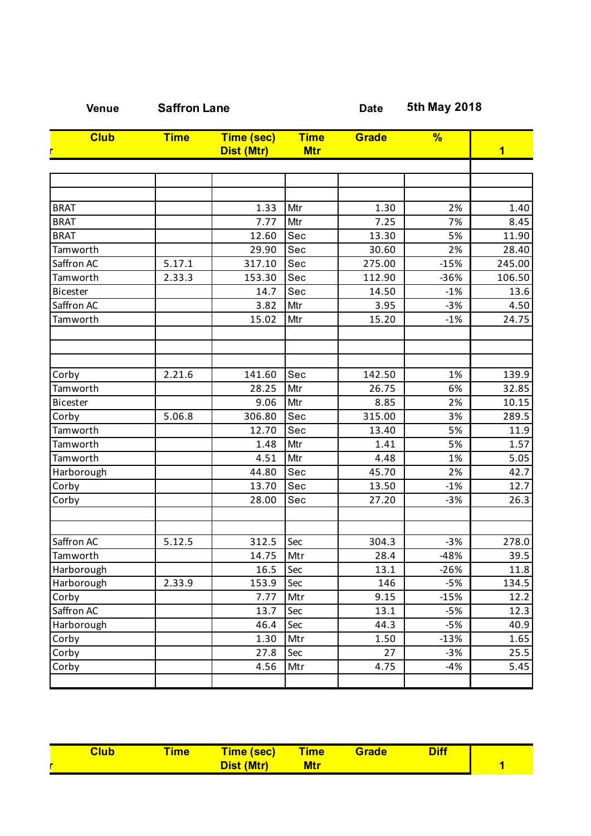| <b>Venue</b>    | <b>Saffron Lane</b> |                                        |                           |              | <b>Date</b> | 5th May 2018   |  |
|-----------------|---------------------|----------------------------------------|---------------------------|--------------|-------------|----------------|--|
| <b>Club</b>     | <b>Time</b>         | <b>Time (sec)</b><br><b>Dist (Mtr)</b> | <b>Time</b><br><b>Mtr</b> | <b>Grade</b> | %           | $\overline{1}$ |  |
|                 |                     |                                        |                           |              |             |                |  |
|                 |                     |                                        |                           |              |             |                |  |
| <b>BRAT</b>     |                     | 1.33                                   | Mtr                       | 1.30         | 2%          | 1.40           |  |
| <b>BRAT</b>     |                     | 7.77                                   | Mtr                       | 7.25         | 7%          | 8.45           |  |
| <b>BRAT</b>     |                     | 12.60                                  | Sec                       | 13.30        | 5%          | 11.90          |  |
| Tamworth        |                     | 29.90                                  | Sec                       | 30.60        | 2%          | 28.40          |  |
| Saffron AC      | 5.17.1              | 317.10                                 | Sec                       | 275.00       | $-15%$      | 245.00         |  |
| Tamworth        | 2.33.3              | 153.30                                 | Sec                       | 112.90       | $-36%$      | 106.50         |  |
| Bicester        |                     | 14.7                                   | Sec                       | 14.50        | $-1%$       | 13.6           |  |
| Saffron AC      |                     | 3.82                                   | Mtr                       | 3.95         | $-3%$       | 4.50           |  |
| Tamworth        |                     | 15.02                                  | Mtr                       | 15.20        | $-1%$       | 24.75          |  |
|                 |                     |                                        |                           |              |             |                |  |
|                 |                     |                                        |                           |              |             |                |  |
| Corby           | 2.21.6              | 141.60                                 | Sec                       | 142.50       | 1%          | 139.9          |  |
| Tamworth        |                     | 28.25                                  | Mtr                       | 26.75        | 6%          | 32.85          |  |
| <b>Bicester</b> |                     | 9.06                                   | Mtr                       | 8.85         | 2%          | 10.15          |  |
| Corby           | 5.06.8              | 306.80                                 | Sec                       | 315.00       | 3%          | 289.5          |  |
| Tamworth        |                     | 12.70                                  | Sec                       | 13.40        | 5%          | 11.9           |  |
| Tamworth        |                     | 1.48                                   | Mtr                       | 1.41         | 5%          | 1.57           |  |
| Tamworth        |                     | 4.51                                   | Mtr                       | 4.48         | 1%          | 5.05           |  |
| Harborough      |                     | 44.80                                  | Sec                       | 45.70        | 2%          | 42.7           |  |
| Corby           |                     | 13.70                                  | Sec                       | 13.50        | $-1%$       | 12.7           |  |
| Corby           |                     | 28.00                                  | Sec                       | 27.20        | $-3%$       | 26.3           |  |
|                 |                     |                                        |                           |              |             |                |  |
| Saffron AC      | 5.12.5              | 312.5                                  | Sec                       | 304.3        | $-3%$       | 278.0          |  |
| Tamworth        |                     | 14.75                                  | Mtr                       | 28.4         | $-48%$      | 39.5           |  |
| Harborough      |                     | 16.5                                   | Sec                       | 13.1         | $-26%$      | 11.8           |  |
| Harborough      | 2.33.9              | 153.9                                  | Sec                       | 146          | $-5%$       | 134.5          |  |
| Corby           |                     | 7.77                                   | Mtr                       | 9.15         | $-15%$      | 12.2           |  |
| Saffron AC      |                     | 13.7                                   | Sec                       | 13.1         | $-5%$       | 12.3           |  |
| Harborough      |                     | 46.4                                   | Sec                       | 44.3         | $-5%$       | 40.9           |  |
|                 |                     | 1.30                                   | Mtr                       | 1.50         | $-13%$      | 1.65           |  |
| Corby           |                     |                                        |                           |              |             | 25.5           |  |
| Corby           |                     | 27.8                                   | Sec                       | 27           | $-3%$       |                |  |
| Corby           |                     | 4.56                                   | Mtr                       | 4.75         | $-4%$       | 5.45           |  |

| Clut | <b>Time</b> | <b>Time (sec)</b> | Time | <b>Grade</b> | <b>Diff</b> |  |
|------|-------------|-------------------|------|--------------|-------------|--|
|      |             | <b>Dist (Mtr)</b> |      |              |             |  |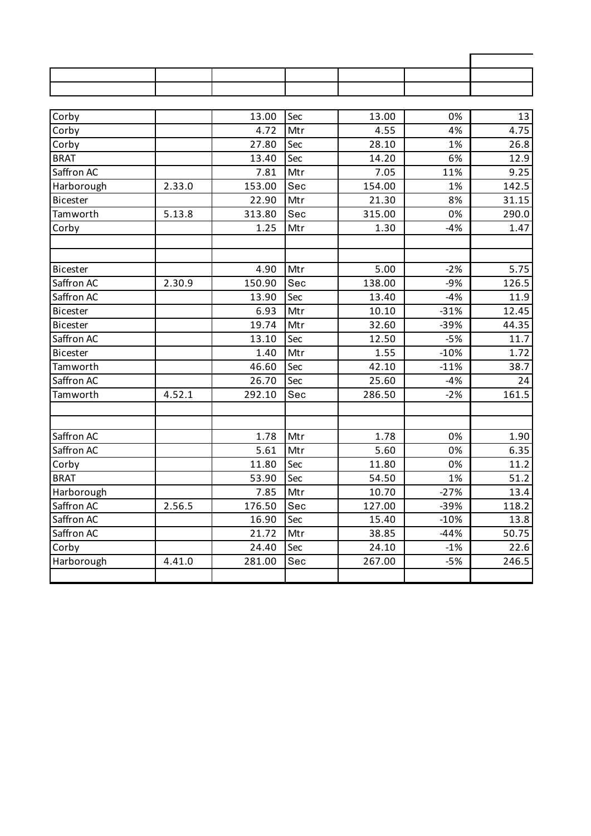| Corby       |        | 13.00  | Sec | 13.00  | 0%    | 13    |
|-------------|--------|--------|-----|--------|-------|-------|
| Corby       |        | 4.72   | Mtr | 4.55   | 4%    | 4.75  |
| Corby       |        | 27.80  | Sec | 28.10  | 1%    | 26.8  |
| <b>BRAT</b> |        | 13.40  | Sec | 14.20  | 6%    | 12.9  |
| Saffron AC  |        | 7.81   | Mtr | 7.05   | 11%   | 9.25  |
| Harborough  | 2.33.0 | 153.00 | Sec | 154.00 | 1%    | 142.5 |
| Bicester    |        | 22.90  | Mtr | 21.30  | 8%    | 31.15 |
| Tamworth    | 5.13.8 | 313.80 | Sec | 315.00 | 0%    | 290.0 |
| Corby       |        | 1.25   | Mtr | 1.30   | $-4%$ | 1.47  |
|             |        |        |     |        |       |       |
|             |        |        |     |        |       |       |

| <b>Bicester</b> |        | 4.90   | Mtr | 5.00   | $-2%$  | 5.75  |
|-----------------|--------|--------|-----|--------|--------|-------|
| Saffron AC      | 2.30.9 | 150.90 | Sec | 138.00 | $-9%$  | 126.5 |
| Saffron AC      |        | 13.90  | Sec | 13.40  | $-4%$  | 11.9  |
| <b>Bicester</b> |        | 6.93   | Mtr | 10.10  | $-31%$ | 12.45 |
| <b>Bicester</b> |        | 19.74  | Mtr | 32.60  | $-39%$ | 44.35 |
| Saffron AC      |        | 13.10  | Sec | 12.50  | $-5%$  | 11.7  |
| Bicester        |        | 1.40   | Mtr | 1.55   | $-10%$ | 1.72  |
| Tamworth        |        | 46.60  | Sec | 42.10  | $-11%$ | 38.7  |
| Saffron AC      |        | 26.70  | Sec | 25.60  | $-4%$  | 24    |
| Tamworth        | 4.52.1 | 292.10 | Sec | 286.50 | $-2%$  | 161.5 |
|                 |        |        |     |        |        |       |
|                 |        |        |     |        |        |       |
| Saffron AC      |        | 1.78   | Mtr | 1.78   | 0%     | 1.90  |
| Saffron AC      |        | 5.61   | Mtr | 5.60   | 0%     | 6.35  |
| Corby           |        | 11.80  | Sec | 11.80  | 0%     | 11.2  |
| <b>BRAT</b>     |        | 53.90  | Sec | 54.50  | 1%     | 51.2  |
| Harborough      |        | 7.85   | Mtr | 10.70  | $-27%$ | 13.4  |
| Saffron AC      | 2.56.5 | 176.50 | Sec | 127.00 | $-39%$ | 118.2 |
| Saffron AC      |        | 16.90  | Sec | 15.40  | $-10%$ | 13.8  |
| Saffron AC      |        | 21.72  | Mtr | 38.85  | $-44%$ | 50.75 |
| Corby           |        | 24.40  | Sec | 24.10  | $-1%$  | 22.6  |
| Harborough      | 4.41.0 | 281.00 | Sec | 267.00 | $-5%$  | 246.5 |
|                 |        |        |     |        |        |       |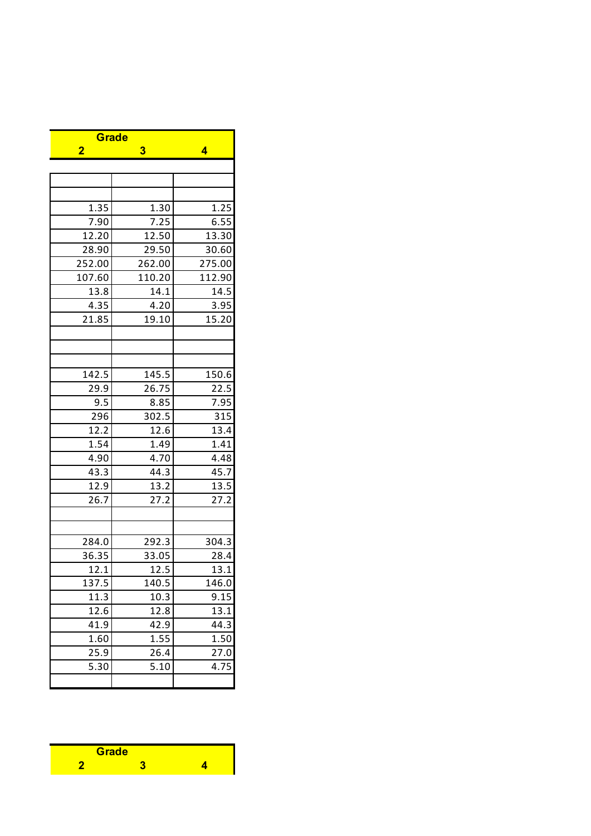| Grade                   |                   |        |  |  |  |
|-------------------------|-------------------|--------|--|--|--|
| $\overline{\mathbf{2}}$ | 3                 | 4      |  |  |  |
|                         |                   |        |  |  |  |
|                         |                   |        |  |  |  |
|                         |                   |        |  |  |  |
| 1.35                    | 1.30              | 1.25   |  |  |  |
| 7.90                    | 7.25              | 6.55   |  |  |  |
| 12.20                   | 12.50             | 13.30  |  |  |  |
| 28.90                   | 29.50             | 30.60  |  |  |  |
| 252.00                  | 262.00            | 275.00 |  |  |  |
| 107.60                  | 110.20            | 112.90 |  |  |  |
| 13.8                    | 14.1              | 14.5   |  |  |  |
| $\overline{4.35}$       | 4.20              | 3.95   |  |  |  |
| 21.85                   | 19.10             | 15.20  |  |  |  |
|                         |                   |        |  |  |  |
|                         |                   |        |  |  |  |
|                         |                   |        |  |  |  |
| 142.5                   | 145.5             | 150.6  |  |  |  |
| 29.9                    | 26.75             | 22.5   |  |  |  |
| 9.5                     | 8.85              | 7.95   |  |  |  |
| 296                     | 302.5             | 315    |  |  |  |
| 12.2                    | 12.6              | 13.4   |  |  |  |
| 1.54                    | 1.49              | 1.41   |  |  |  |
| 4.90                    | 4.70              | 4.48   |  |  |  |
| 43.3                    | 44.3              | 45.7   |  |  |  |
| 12.9                    | 13.2              | 13.5   |  |  |  |
| 26.7                    | 27.2              | 27.2   |  |  |  |
|                         |                   |        |  |  |  |
|                         |                   |        |  |  |  |
| 284.0                   | 292.3             | 304.3  |  |  |  |
| 36.35                   | 33.05             | 28.4   |  |  |  |
| 12.1                    | 12.5              | 13.1   |  |  |  |
| 137.5                   | 140.5             | 146.0  |  |  |  |
| 11.3                    | 10.3              | 9.15   |  |  |  |
| 12.6                    | 12.8              | 13.1   |  |  |  |
| 41.9                    | 42.9              | 44.3   |  |  |  |
| 1.60                    | $\overline{1.55}$ | 1.50   |  |  |  |
| 25.9                    | 26.4              | 27.0   |  |  |  |
| 5.30                    | 5.10              | 4.75   |  |  |  |
|                         |                   |        |  |  |  |

| <b>Grade</b> |  |
|--------------|--|
|              |  |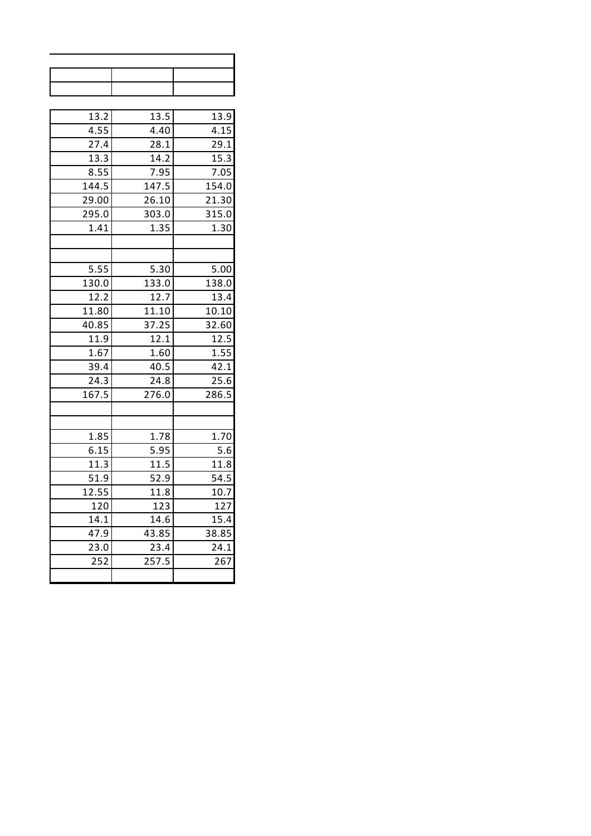| 13.2  | 13.5        | 13.9  |
|-------|-------------|-------|
| 4.55  | 4.40        | 4.15  |
| 27.4  | 28.1        | 29.1  |
| 13.3  | 14.2        | 15.3  |
| 8.55  | 7.95        | 7.05  |
| 144.5 | 147.5       | 154.0 |
| 29.00 | 26.10       | 21.30 |
| 295.0 | 303.0       | 315.0 |
| 1.41  | 1.35        | 1.30  |
|       |             |       |
|       |             |       |
| 5.55  | 5.30        | 5.00  |
| 130.0 | 133.0       | 138.0 |
| 12.2  | 12.7        | 13.4  |
| 11.80 | 11.10       | 10.10 |
| 40.85 | 37.25       | 32.60 |
| 11.9  | 12.1        | 12.5  |
| 1.67  | 1.60        | 1.55  |
| 39.4  | 40.5        | 42.1  |
| 24.3  | 24.8        | 25.6  |
| 167.5 | 276.0       | 286.5 |
|       |             |       |
|       |             |       |
| 1.85  | 1.78        | 1.70  |
| 6.15  | 5.95        | 5.6   |
| 11.3  | 11.5        | 11.8  |
| 51.9  | 52.9        | 54.5  |
| 12.55 | 11.8        | 10.7  |
| 120   | <u> 123</u> | 127   |
| 14.1  | 14.6        | 15.4  |
| 47.9  | 43.85       | 38.85 |
| 23.0  | 23.4        | 24.1  |
| 252   | 257.5       | 267   |
|       |             |       |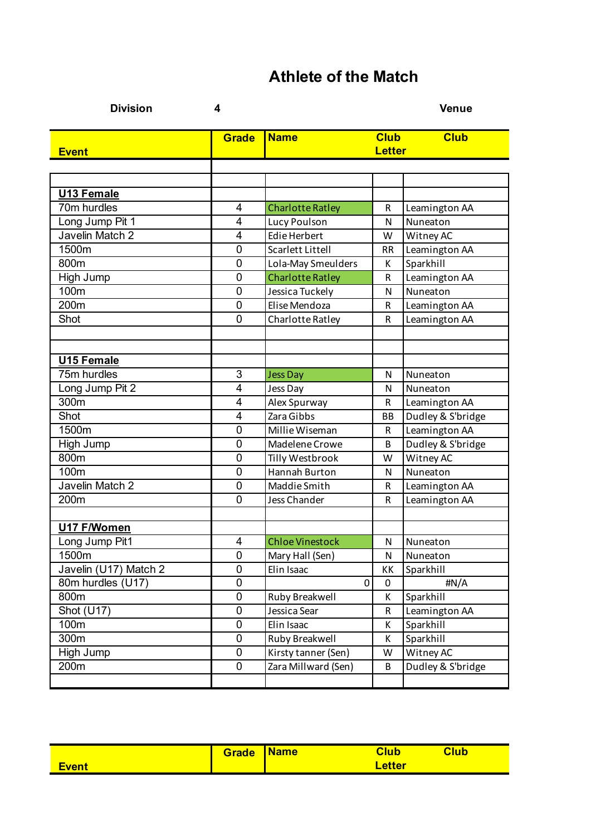| <b>Division</b>         | 4                       |                         |                              | <b>Venue</b>      |
|-------------------------|-------------------------|-------------------------|------------------------------|-------------------|
| <b>Event</b>            | Grade                   | <b>Name</b>             | <b>Club</b><br><b>Letter</b> | <b>Club</b>       |
|                         |                         |                         |                              |                   |
|                         |                         |                         |                              |                   |
| U13 Female              |                         |                         |                              |                   |
| 70m hurdles             | 4                       | <b>Charlotte Ratley</b> | R                            | Leamington AA     |
| Long Jump Pit 1         | 4                       | Lucy Poulson            | Ν                            | Nuneaton          |
| Javelin Match 2         | $\overline{4}$          | <b>Edie Herbert</b>     | W                            | Witney AC         |
| 1500m                   | $\mathbf 0$             | Scarlett Littell        | <b>RR</b>                    | Leamington AA     |
| 800m                    | $\mathbf 0$             | Lola-May Smeulders      | K                            | Sparkhill         |
| High Jump               | $\overline{0}$          | <b>Charlotte Ratley</b> | R                            | Leamington AA     |
| 100m                    | $\mathbf 0$             | Jessica Tuckely         | N                            | Nuneaton          |
| 200m                    | 0                       | Elise Mendoza           | R                            | Leamington AA     |
| Shot                    | $\overline{0}$          | Charlotte Ratley        | R                            | Leamington AA     |
|                         |                         |                         |                              |                   |
|                         |                         |                         |                              |                   |
| <b>U15 Female</b>       |                         |                         |                              |                   |
| 75m hurdles             | 3                       | <b>Jess Day</b>         | Ν                            | Nuneaton          |
| Long Jump Pit 2         | 4                       | Jess Day                | Ν                            | Nuneaton          |
| 300m                    | $\overline{\mathbf{4}}$ | Alex Spurway            | R                            | Leamington AA     |
| Shot                    | 4                       | Zara Gibbs              | BB                           | Dudley & S'bridge |
| 1500m                   | $\mathbf 0$             | Millie Wiseman          | R                            | Leamington AA     |
| High Jump               | $\overline{0}$          | Madelene Crowe          | B                            | Dudley & S'bridge |
| 800m                    | 0                       | Tilly Westbrook         | W                            | Witney AC         |
| 100m                    | 0                       | Hannah Burton           | Ν                            | Nuneaton          |
| Javelin Match 2         | $\overline{0}$          | Maddie Smith            | R                            | Leamington AA     |
| 200m                    | 0                       | Jess Chander            | R                            | Leamington AA     |
|                         |                         |                         |                              |                   |
| U17 F/Women             |                         |                         |                              |                   |
| Long Jump Pit1          | $\overline{4}$          | <b>Chloe Vinestock</b>  | N                            | Nuneaton          |
| 1500m                   | 0                       | Mary Hall (Sen)         | N                            | Nuneaton          |
| Javelin (U17) Match 2   | $\mathbf 0$             | Elin Isaac              | KK                           | Sparkhill         |
| 80m hurdles (U17)       | $\pmb{0}$               | 0                       | 0                            | #N/A              |
| 800m                    | $\pmb{0}$               | Ruby Breakwell          | K                            | Sparkhill         |
| Shot $(U1\overline{7})$ | $\mathbf 0$             | Jessica Sear            | R                            | Leamington AA     |
| 100m                    | $\pmb{0}$               | Elin Isaac              | K                            | Sparkhill         |
| 300m                    | $\mathbf 0$             | Ruby Breakwell          | К                            | Sparkhill         |
| High Jump               | $\mathbf 0$             | Kirsty tanner (Sen)     | W                            | Witney AC         |
| 200m                    | 0                       | Zara Millward (Sen)     |                              | Dudley & S'bridge |
|                         |                         |                         | B                            |                   |
|                         |                         |                         |                              |                   |

|              | Grade | <b>Name</b> | <b>Club</b>    | <b>Club</b> |
|--------------|-------|-------------|----------------|-------------|
| <b>Event</b> |       |             | <u> Letter</u> |             |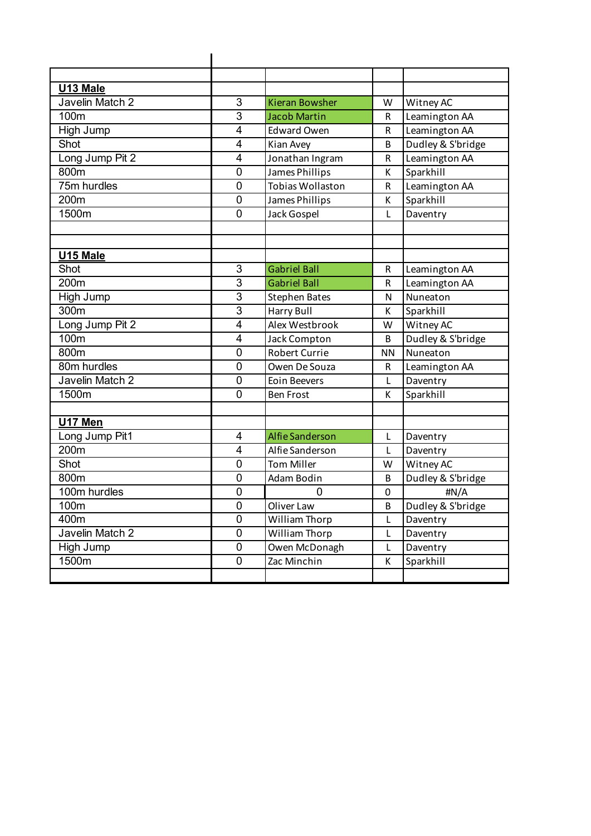| U13 Male        |                |                         |           |                   |
|-----------------|----------------|-------------------------|-----------|-------------------|
| Javelin Match 2 | 3              | <b>Kieran Bowsher</b>   | W         | Witney AC         |
| 100m            | 3              | <b>Jacob Martin</b>     | R         | Leamington AA     |
| High Jump       | $\overline{4}$ | <b>Edward Owen</b>      | R         | Leamington AA     |
| Shot            | 4              | Kian Avey               | B         | Dudley & S'bridge |
| Long Jump Pit 2 | 4              | Jonathan Ingram         | R         | Leamington AA     |
| 800m            | 0              | James Phillips          | К         | Sparkhill         |
| 75m hurdles     | 0              | <b>Tobias Wollaston</b> | R         | Leamington AA     |
| 200m            | 0              | James Phillips          | K         | Sparkhill         |
| 1500m           | 0              | Jack Gospel             | L         | Daventry          |
|                 |                |                         |           |                   |
|                 |                |                         |           |                   |
| U15 Male        |                |                         |           |                   |
| Shot            | 3              | <b>Gabriel Ball</b>     | R         | Leamington AA     |
| 200m            | 3              | <b>Gabriel Ball</b>     | R         | Leamington AA     |
| High Jump       | $\overline{3}$ | <b>Stephen Bates</b>    | N         | Nuneaton          |
| 300m            | 3              | <b>Harry Bull</b>       | К         | Sparkhill         |
| Long Jump Pit 2 | 4              | Alex Westbrook          | W         | Witney AC         |
| 100m            | $\overline{4}$ | Jack Compton            | B         | Dudley & S'bridge |
| 800m            | $\mathbf 0$    | <b>Robert Currie</b>    | <b>NN</b> | Nuneaton          |
| 80m hurdles     | $\mathbf 0$    | Owen De Souza           | R         | Leamington AA     |
| Javelin Match 2 | 0              | <b>Eoin Beevers</b>     | L         | Daventry          |
| 1500m           | 0              | <b>Ben Frost</b>        | К         | Sparkhill         |
|                 |                |                         |           |                   |
| U17 Men         |                |                         |           |                   |
| Long Jump Pit1  | 4              | Alfie Sanderson         | L         | Daventry          |
| 200m            | 4              | Alfie Sanderson         | L         | Daventry          |
| Shot            | 0              | <b>Tom Miller</b>       | W         | Witney AC         |
| 800m            | 0              | Adam Bodin              | B         | Dudley & S'bridge |
| 100m hurdles    | 0              | 0                       | 0         | #N/A              |
| 100m            | 0              | Oliver Law              | B         | Dudley & S'bridge |
| 400m            | $\mathbf 0$    | William Thorp           | Г         | Daventry          |
| Javelin Match 2 | 0              | <b>William Thorp</b>    | L         | Daventry          |
| High Jump       | $\mathbf 0$    | Owen McDonagh           | L         | Daventry          |
| 1500m           | $\mathbf 0$    | Zac Minchin             | К         | Sparkhill         |
|                 |                |                         |           |                   |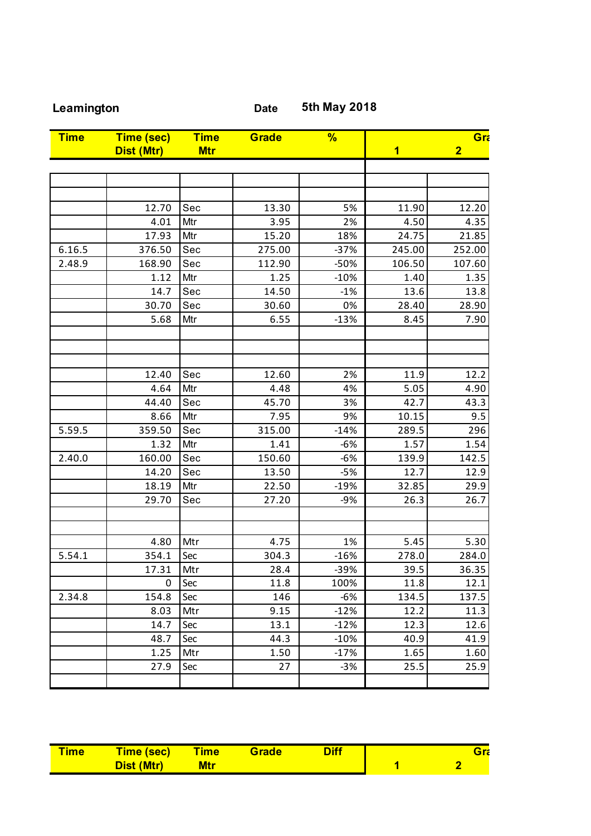|  | Leamington |
|--|------------|
|  |            |
|  |            |
|  |            |

| <b>Time</b> | Time (sec)        | <b>Time</b> | <b>Grade</b> | %      |                         | Gra            |
|-------------|-------------------|-------------|--------------|--------|-------------------------|----------------|
|             | <b>Dist (Mtr)</b> | <b>Mtr</b>  |              |        | $\overline{\mathbf{1}}$ | $\overline{2}$ |
|             |                   |             |              |        |                         |                |
|             |                   |             |              |        |                         |                |
|             |                   |             |              |        |                         |                |
|             | 12.70             | Sec         | 13.30        | 5%     | 11.90                   | 12.20          |
|             | 4.01              | Mtr         | 3.95         | 2%     | 4.50                    | 4.35           |
|             | 17.93             | Mtr         | 15.20        | 18%    | 24.75                   | 21.85          |
| 6.16.5      | 376.50            | Sec         | 275.00       | $-37%$ | 245.00                  | 252.00         |
| 2.48.9      | 168.90            | Sec         | 112.90       | $-50%$ | 106.50                  | 107.60         |
|             | 1.12              | Mtr         | 1.25         | $-10%$ | 1.40                    | 1.35           |
|             | 14.7              | Sec         | 14.50        | $-1%$  | 13.6                    | 13.8           |
|             | 30.70             | Sec         | 30.60        | 0%     | 28.40                   | 28.90          |
|             | 5.68              | Mtr         | 6.55         | $-13%$ | 8.45                    | 7.90           |
|             |                   |             |              |        |                         |                |
|             |                   |             |              |        |                         |                |
|             |                   |             |              |        |                         |                |
|             | 12.40             | Sec         | 12.60        | 2%     | 11.9                    | 12.2           |
|             | 4.64              | Mtr         | 4.48         | 4%     | 5.05                    | 4.90           |
|             | 44.40             | Sec         | 45.70        | 3%     | 42.7                    | 43.3           |
|             | 8.66              | Mtr         | 7.95         | 9%     | 10.15                   | 9.5            |
| 5.59.5      | 359.50            | Sec         | 315.00       | $-14%$ | 289.5                   | 296            |
|             | 1.32              | Mtr         | 1.41         | $-6%$  | 1.57                    | 1.54           |
| 2.40.0      | 160.00            | Sec         | 150.60       | $-6%$  | 139.9                   | 142.5          |
|             | 14.20             | Sec         | 13.50        | $-5%$  | 12.7                    | 12.9           |
|             | 18.19             | Mtr         | 22.50        | $-19%$ | 32.85                   | 29.9           |
|             | 29.70             | Sec         | 27.20        | $-9%$  | 26.3                    | 26.7           |
|             |                   |             |              |        |                         |                |
|             |                   |             |              |        |                         |                |
|             | 4.80              | Mtr         | 4.75         | 1%     | 5.45                    | 5.30           |
| 5.54.1      | 354.1             | Sec         | 304.3        | $-16%$ | 278.0                   | 284.0          |
|             | 17.31             | Mtr         | 28.4         | $-39%$ | 39.5                    | 36.35          |
|             | 0                 | Sec         | 11.8         | 100%   | 11.8                    | 12.1           |
| 2.34.8      | 154.8             | Sec         | 146          | $-6%$  | 134.5                   | 137.5          |
|             | 8.03              | Mtr         | 9.15         | $-12%$ | 12.2                    | 11.3           |
|             | 14.7              | Sec         | 13.1         | $-12%$ | 12.3                    | 12.6           |
|             | 48.7              | Sec         | 44.3         | $-10%$ | 40.9                    | 41.9           |
|             | 1.25              | Mtr         | 1.50         | $-17%$ | 1.65                    | 1.60           |
|             | 27.9              | Sec         | 27           | $-3%$  | 25.5                    | 25.9           |
|             |                   |             |              |        |                         |                |
|             |                   |             |              |        |                         |                |

| <b>Time</b> | <u>Time (sec)</u> | <b>Time</b> | <b>Grade</b> | <u>Diff</u> |  |
|-------------|-------------------|-------------|--------------|-------------|--|
|             | Dist (Mtr)        | Mtr         |              |             |  |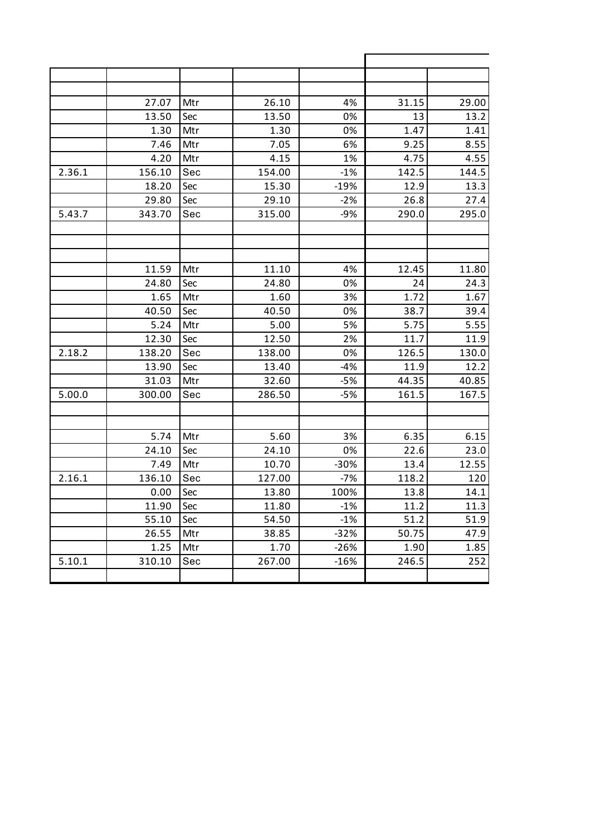|        | 27.07  | Mtr | 26.10  | 4%     | 31.15 | 29.00 |
|--------|--------|-----|--------|--------|-------|-------|
|        | 13.50  | Sec | 13.50  | 0%     | 13    | 13.2  |
|        | 1.30   | Mtr | 1.30   | 0%     | 1.47  | 1.41  |
|        | 7.46   | Mtr | 7.05   | 6%     | 9.25  | 8.55  |
|        | 4.20   | Mtr | 4.15   | 1%     | 4.75  | 4.55  |
| 2.36.1 | 156.10 | Sec | 154.00 | $-1%$  | 142.5 | 144.5 |
|        | 18.20  | Sec | 15.30  | $-19%$ | 12.9  | 13.3  |
|        | 29.80  | Sec | 29.10  | $-2%$  | 26.8  | 27.4  |
| 5.43.7 | 343.70 | Sec | 315.00 | $-9%$  | 290.0 | 295.0 |
|        |        |     |        |        |       |       |
|        |        |     |        |        |       |       |
|        |        |     |        |        |       |       |
|        | 11.59  | Mtr | 11.10  | 4%     | 12.45 | 11.80 |
|        | 24.80  | Sec | 24.80  | 0%     | 24    | 24.3  |
|        | 1.65   | Mtr | 1.60   | 3%     | 1.72  | 1.67  |
|        | 40.50  | Sec | 40.50  | 0%     | 38.7  | 39.4  |
|        | 5.24   | Mtr | 5.00   | 5%     | 5.75  | 5.55  |
|        | 12.30  | Sec | 12.50  | 2%     | 11.7  | 11.9  |
| 2.18.2 | 138.20 | Sec | 138.00 | 0%     | 126.5 | 130.0 |
|        | 13.90  | Sec | 13.40  | $-4%$  | 11.9  | 12.2  |
|        | 31.03  | Mtr | 32.60  | $-5%$  | 44.35 | 40.85 |
| 5.00.0 | 300.00 | Sec | 286.50 | $-5%$  | 161.5 | 167.5 |
|        |        |     |        |        |       |       |
|        |        |     |        |        |       |       |
|        | 5.74   | Mtr | 5.60   | 3%     | 6.35  | 6.15  |
|        | 24.10  | Sec | 24.10  | 0%     | 22.6  | 23.0  |
|        | 7.49   | Mtr | 10.70  | $-30%$ | 13.4  | 12.55 |
| 2.16.1 | 136.10 | Sec | 127.00 | $-7%$  | 118.2 | 120   |
|        | 0.00   | Sec | 13.80  | 100%   | 13.8  | 14.1  |
|        | 11.90  | Sec | 11.80  | $-1\%$ | 11.2  | 11.3  |
|        | 55.10  | Sec | 54.50  | $-1%$  | 51.2  | 51.9  |
|        | 26.55  | Mtr | 38.85  | $-32%$ | 50.75 | 47.9  |
|        | 1.25   | Mtr | 1.70   | $-26%$ | 1.90  | 1.85  |
| 5.10.1 | 310.10 | Sec | 267.00 | $-16%$ | 246.5 | 252   |
|        |        |     |        |        |       |       |
|        |        |     |        |        |       |       |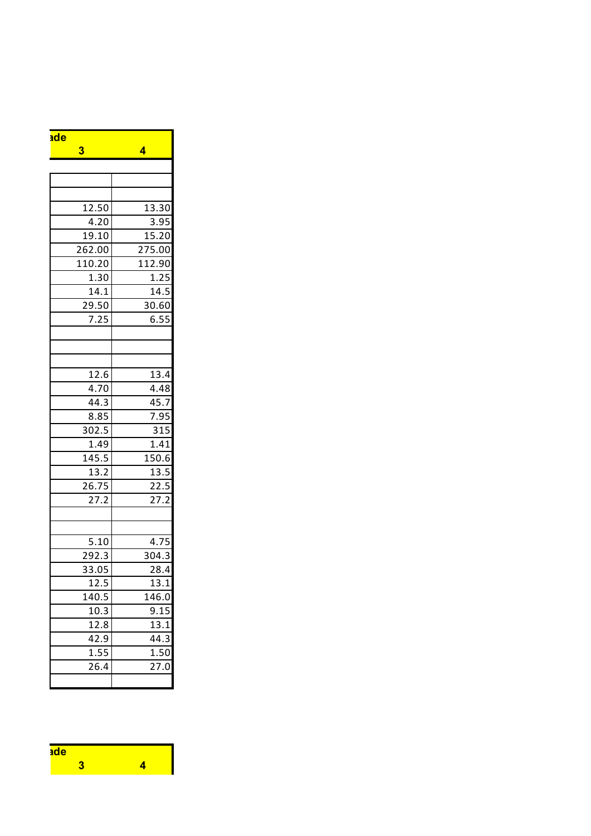| ade<br>$\overline{\mathbf{3}}$ | 4                 |
|--------------------------------|-------------------|
|                                |                   |
|                                |                   |
|                                |                   |
| 12.50                          | 13.30             |
| 4.20                           | 3.95              |
| 19.10                          | 15.20             |
| 262.00                         | 275.00            |
| 110.20                         | 112.90            |
| 1.30                           | 1.25              |
| 14.1                           | 14.5              |
| 29.50                          | 30.60             |
| 7.25                           | 6.55              |
|                                |                   |
|                                |                   |
|                                |                   |
| 12.6                           | 13.4              |
| 4.70                           | 4.48              |
| $44.\overline{3}$              | 45.7              |
| 8.85                           | 7.95              |
| 302.5                          | 315               |
| 1.49                           | 1.41              |
| 145.5                          | 150.6             |
| 13.2                           | 13.5              |
| $\overline{26.75}$             | 22.5              |
| 27.2                           | 27.2              |
|                                |                   |
|                                |                   |
| 5.10                           | 4.75              |
| 292.3                          | 304.3             |
| 33.05                          | $28.\overline{4}$ |
| 12.5                           | 13.1              |
| 140.5                          | 146.0             |
| 10.3                           | 9.15              |
| 12.8                           | 13.1              |
| 42.9                           | 44.3              |
| $\overline{1.55}$              | $\overline{1.50}$ |
| 26.4                           | 27.0              |
|                                |                   |

#### **3 4** <mark>ade</mark>